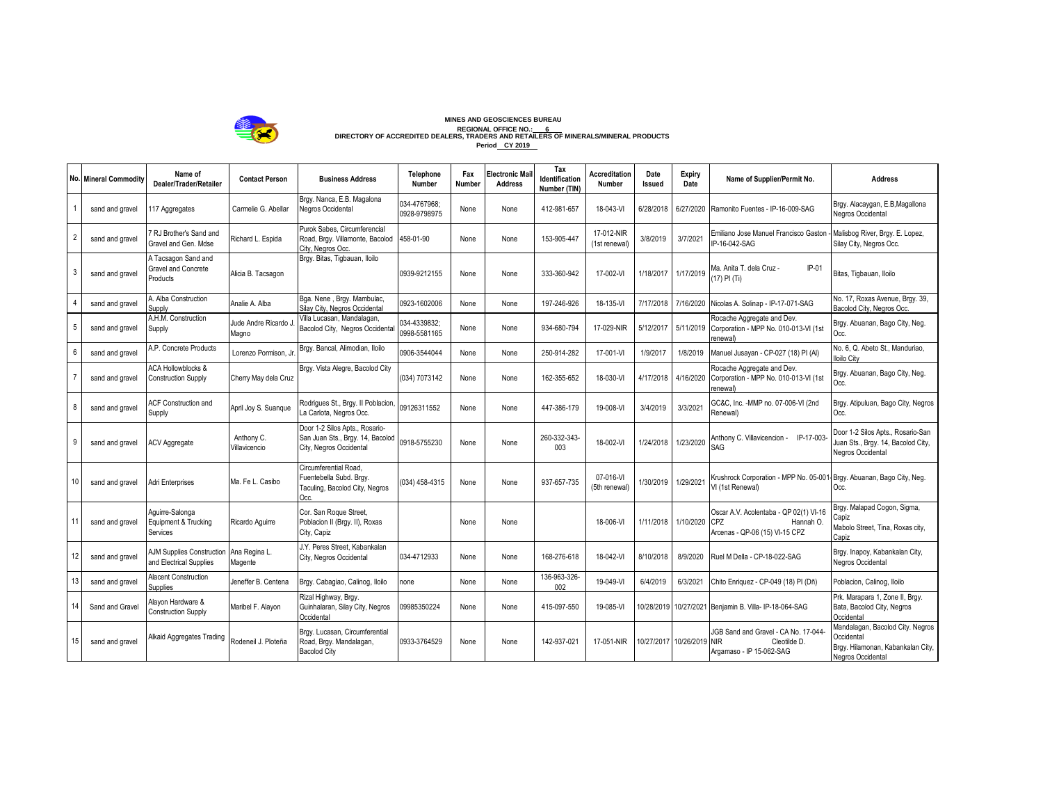

## MINES AND GEOSCIENCES BUREAU<br>REGIONAL ORIGINAL DESAURAL OFFICE NO.<u>: 6 L.</u><br>DIRECTORY OF ACCREDITED DEALERS, TRADERS AND RETAILERS OF MINERALS/MINERAL PRODUCTS **Period CY 2019**

|                | <b>No. Mineral Commodity</b> | Name of<br>Dealer/Trader/Retailer                           | <b>Contact Person</b>       | <b>Business Address</b>                                                                       | <b>Telephone</b><br>Number   | Fax<br>Number | <b>Electronic Mai</b><br><b>Address</b> | Tax<br>Identification<br>Number (TIN) | <b>Accreditation</b><br>Number | Date<br>Issued | Expiry<br>Date | Name of Supplier/Permit No.                                                                  | <b>Address</b>                                                                                           |
|----------------|------------------------------|-------------------------------------------------------------|-----------------------------|-----------------------------------------------------------------------------------------------|------------------------------|---------------|-----------------------------------------|---------------------------------------|--------------------------------|----------------|----------------|----------------------------------------------------------------------------------------------|----------------------------------------------------------------------------------------------------------|
|                | sand and gravel              | 17 Aggregates                                               | Carmelie G. Abellar         | Brgy. Nanca, E.B. Magalona<br><b>Vegros Occidental</b>                                        | 034-4767968:<br>0928-9798975 | None          | None                                    | 412-981-657                           | 18-043-VI                      | 6/28/2018      | 6/27/2020      | Ramonito Fuentes - IP-16-009-SAG                                                             | Brgy. Alacaygan, E.B, Magallona<br>Negros Occidental                                                     |
| $\overline{2}$ | sand and gravel              | RJ Brother's Sand and<br>Gravel and Gen. Mdse               | Richard L. Espida           | Purok Sabes, Circumferencial<br>Road, Brgy. Villamonte, Bacolod<br>City, Nearos Occ.          | 458-01-90                    | None          | None                                    | 153-905-447                           | 17-012-NIR<br>(1st renewal)    | 3/8/2019       | 3/7/2021       | Emiliano Jose Manuel Francisco Gaston<br>IP-16-042-SAG                                       | Malisbog River, Brgy. E. Lopez,<br>Silay City, Negros Occ.                                               |
| 3              | sand and gravel              | A Tacsagon Sand and<br>Gravel and Concrete<br>Products      | Alicia B. Tacsagon          | Brgy. Bitas, Tigbauan, Iloilo                                                                 | 0939-9212155                 | None          | None                                    | 333-360-942                           | 17-002-VI                      | 1/18/2017      | 1/17/2019      | Ma. Anita T. dela Cruz -<br>$IP-01$<br>(17) PI (Ti)                                          | Bitas, Tigbauan, Iloilo                                                                                  |
|                | sand and gravel              | A. Alba Construction<br>Supply                              | Analie A. Alba              | Bga. Nene, Brgy. Mambulac,<br>Silav City, Negros Occidental                                   | 0923-1602006                 | None          | None                                    | 197-246-926                           | 18-135-VI                      | 7/17/2018      | 7/16/2020      | Nicolas A. Solinap - IP-17-071-SAG                                                           | No. 17, Roxas Avenue, Brgy. 39,<br>Bacolod City, Nearos Occ.                                             |
| 5              | sand and gravel              | A.H.M. Construction<br>Supply                               | Jude Andre Ricardo<br>Magno | Villa Lucasan, Mandalagan,<br>Bacolod City, Negros Occidental                                 | 034-4339832:<br>0998-5581165 | None          | None                                    | 934-680-794                           | 17-029-NIR                     | 5/12/2017      | 5/11/2019      | Rocache Aggregate and Dev.<br>Corporation - MPP No. 010-013-VI (1st<br>renewal)              | Brgy. Abuanan, Bago City, Neg.<br>Occ.                                                                   |
| 6              | sand and gravel              | A.P. Concrete Products                                      | Lorenzo Pormison.           | Brgy. Bancal, Alimodian, Iloilo                                                               | 0906-3544044                 | None          | None                                    | 250-914-282                           | 17-001-VI                      | 1/9/2017       | 1/8/2019       | Manuel Jusayan - CP-027 (18) PI (Al)                                                         | No. 6, Q. Abeto St., Manduriao.<br>lloilo City                                                           |
|                | sand and gravel              | <b>ACA Hollowblocks &amp;</b><br><b>Construction Supply</b> | Cherry May dela Cruz        | Brgy. Vista Alegre, Bacolod City                                                              | (034) 7073142                | None          | None                                    | 162-355-652                           | 18-030-VI                      | 4/17/2018      | 4/16/2020      | Rocache Aggregate and Dev.<br>Corporation - MPP No. 010-013-VI (1st<br>renewal)              | Brgy. Abuanan, Bago City, Neg.<br>Occ.                                                                   |
| 8              | sand and gravel              | <b>ACF Construction and</b><br>Supply                       | April Joy S. Suanque        | Rodrigues St., Brgy. Il Poblacion<br>La Carlota, Negros Occ.                                  | 09126311552                  | None          | None                                    | 447-386-179                           | 19-008-VI                      | 3/4/2019       | 3/3/2021       | GC&C, Inc. - MMP no. 07-006-VI (2nd<br>Renewal)                                              | Brgy. Atipuluan, Bago City, Negros<br>Occ.                                                               |
| 9              | sand and gravel              | ACV Aggregate                                               | Anthony C.<br>Villavicencio | Door 1-2 Silos Apts., Rosario-<br>San Juan Sts., Brgy. 14, Bacolod<br>City, Negros Occidental | 0918-5755230                 | None          | None                                    | 260-332-343-<br>003                   | 18-002-VI                      | 1/24/2018      | 1/23/2020      | IP-17-003<br>Anthony C. Villavicencion -<br>SAG                                              | Door 1-2 Silos Apts., Rosario-San<br>Juan Sts., Brgy. 14, Bacolod City,<br>Negros Occidental             |
| 10             | sand and gravel              | Adri Enterprises                                            | Ma. Fe L. Casibo            | Circumferential Road.<br>Fuentebella Subd. Brgy.<br>Taculing, Bacolod City, Negros<br>Occ.    | (034) 458-4315               | None          | None                                    | 937-657-735                           | 07-016-VI<br>(5th renewal)     | /30/2019       | 1/29/2021      | Krushrock Corporation - MPP No. 05-001-Brgy. Abuanan, Bago City, Neg.<br>VI (1st Renewal)    | Occ.                                                                                                     |
| 11             | sand and gravel              | Aguirre-Salonga<br>Equipment & Trucking<br>Services         | Ricardo Aquirre             | Cor. San Roque Street,<br>Poblacion II (Brgy. II), Roxas<br>City, Capiz                       |                              | None          | None                                    |                                       | 18-006-VI                      | 1/11/2018      | 1/10/2020      | Oscar A.V. Acolentaba - QP 02(1) VI-16<br>CPZ<br>Hannah O.<br>Arcenas - QP-06 (15) VI-15 CPZ | Brgy. Malapad Cogon, Sigma,<br>Capiz<br>Mabolo Street, Tina, Roxas city,<br>Capiz                        |
| 12             | sand and gravel              | <b>AJM Supplies Construction</b><br>and Electrical Supplies | Ana Regina L.<br>Magente    | J.Y. Peres Street. Kabankalan<br>City, Negros Occidental                                      | 034-4712933                  | None          | None                                    | 168-276-618                           | 18-042-VI                      | 8/10/2018      | 8/9/2020       | Ruel M Della - CP-18-022-SAG                                                                 | Brgy. Inapoy, Kabankalan City,<br>Negros Occidental                                                      |
| 13             | sand and gravel              | Alacent Construction<br><b>Supplies</b>                     | Jeneffer B. Centena         | Brgy. Cabagiao, Calinog, Iloilo                                                               | none                         | None          | None                                    | 136-963-326-<br>002                   | 19-049-VI                      | 6/4/2019       | 6/3/2021       | Chito Enriquez - CP-049 (18) PI (Dñ)                                                         | Poblacion, Calinog, Iloilo                                                                               |
| 14             | Sand and Gravel              | Alayon Hardware &<br><b>Construction Supply</b>             | Maribel F. Alayon           | Rizal Highway, Brgy.<br>Guinhalaran, Silay City, Negros<br>Occidental                         | 09985350224                  | None          | None                                    | 415-097-550                           | 19-085-VI                      | 10/28/2019     |                | 10/27/2021 Benjamin B. Villa- IP-18-064-SAG                                                  | Prk. Marapara 1, Zone II, Brgy.<br>Bata, Bacolod City, Negros<br>Occidental                              |
|                | 15<br>sand and gravel        | Alkaid Aggregates Trading                                   | Rodeneil J. Ploteña         | Brgy. Lucasan, Circumferential<br>Road, Brgy. Mandalagan,<br><b>Bacolod City</b>              | 0933-3764529                 | None          | None                                    | 142-937-021                           | 17-051-NIR                     | 0/27/2017      | 10/26/2019 NIR | IGB Sand and Gravel - CA No. 17-044<br>Cleotilde D.<br>Argamaso - IP 15-062-SAG              | Mandalagan, Bacolod City. Negros<br>Occidental<br>Brgy. Hilamonan, Kabankalan City,<br>Negros Occidental |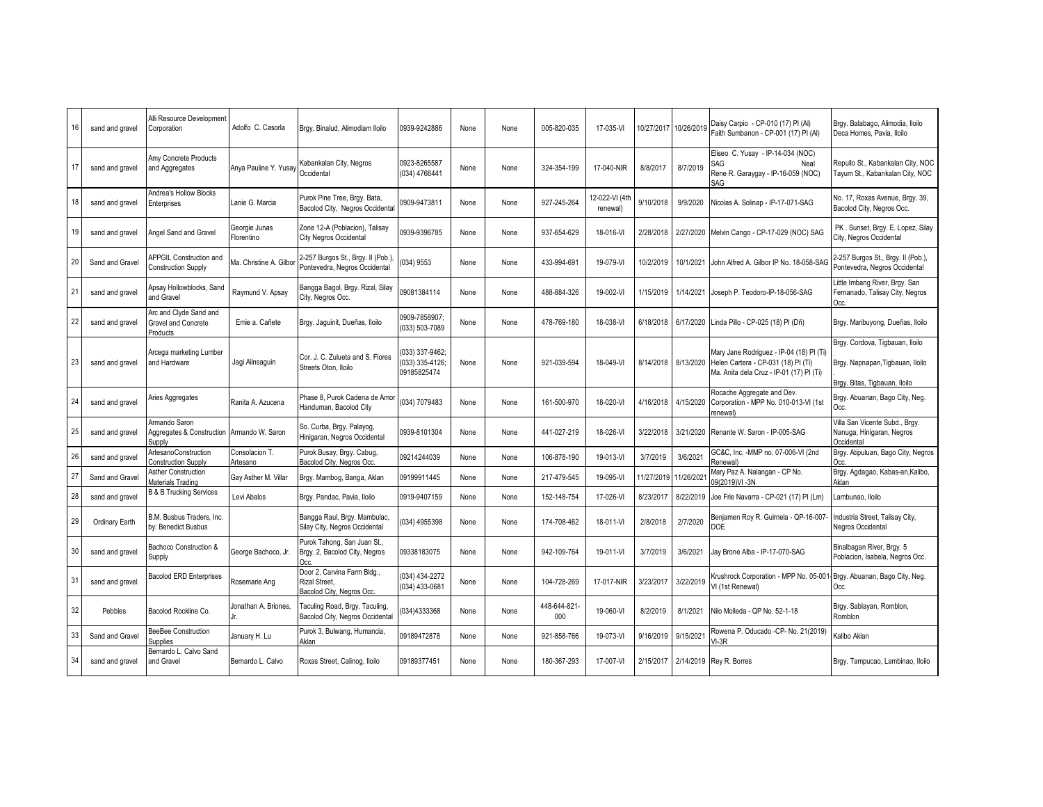| 16 | sand and gravel | Alli Resource Development<br>Corporation                              | Adolfo C. Casorla           | Brgy. Binalud, Alimodiam Iloilo                                                  | 0939-9242886                                    | None | None | 005-820-035         | 17-035-VI                  | 10/27/2017 | 10/26/2019 | Daisy Carpio - CP-010 (17) PI (Al)<br>Faith Sumbanon - CP-001 (17) PI (Al)                                                  | Brgy. Balabago, Alimodia, Iloilo<br>Deca Homes, Pavia, Iloilo                                        |
|----|-----------------|-----------------------------------------------------------------------|-----------------------------|----------------------------------------------------------------------------------|-------------------------------------------------|------|------|---------------------|----------------------------|------------|------------|-----------------------------------------------------------------------------------------------------------------------------|------------------------------------------------------------------------------------------------------|
| 17 | sand and gravel | Amy Concrete Products<br>and Aggregates                               | Anya Pauline Y. Yusay       | Kabankalan City, Negros<br>Occidental                                            | 0923-8265587<br>(034) 4766441                   | None | None | 324-354-199         | 17-040-NIR                 | 8/8/2017   | 8/7/2019   | Eliseo C. Yusay - IP-14-034 (NOC)<br>SAG<br>Neal<br>Rene R. Garaygay - IP-16-059 (NOC)<br>SAG                               | Repullo St., Kabankalan City, NOC<br>Tayum St., Kabankalan City, NOC                                 |
| 18 | sand and gravel | Andrea's Hollow Blocks<br>Enterprises                                 | Lanie G. Marcia             | Purok Pine Tree, Brgy. Bata,<br>Bacolod City, Negros Occidental                  | 0909-9473811                                    | None | None | 927-245-264         | 12-022-VI (4tl<br>renewal) | 9/10/2018  | 9/9/2020   | Nicolas A. Solinap - IP-17-071-SAG                                                                                          | No. 17, Roxas Avenue, Brgy. 39,<br>Bacolod City, Negros Occ.                                         |
| 19 | sand and gravel | <b>Angel Sand and Gravel</b>                                          | Georgie Junas<br>Florentino | Zone 12-A (Poblacion), Talisay<br><b>City Negros Occidental</b>                  | 0939-9396785                                    | None | None | 937-654-629         | 18-016-VI                  | 2/28/2018  | 2/27/2020  | Melvin Cango - CP-17-029 (NOC) SAG                                                                                          | PK. Sunset, Brgy. E. Lopez, Silay<br>City, Negros Occidental                                         |
| 20 | Sand and Gravel | <b>APPGIL Construction and</b><br><b>Construction Supply</b>          | Ma. Christine A. Gilbo      | 2-257 Burgos St., Brgy. II (Pob.)<br>Pontevedra, Negros Occidental               | (034) 9553                                      | None | None | 433-994-691         | 19-079-VI                  | 10/2/2019  | 10/1/2021  | John Alfred A. Gilbor IP No. 18-058-SAG                                                                                     | 2-257 Burgos St., Brgy. II (Pob.),<br>Pontevedra, Negros Occidental                                  |
| 21 | sand and gravel | Apsay Hollowblocks, Sand<br>and Gravel                                | Raymund V. Apsay            | Bangga Bagol, Brgy. Rizal, Silay<br>City, Negros Occ.                            | 09081384114                                     | None | None | 488-884-326         | 19-002-VI                  | 1/15/2019  | 1/14/2021  | Joseph P. Teodoro-IP-18-056-SAG                                                                                             | ittle Imbang River, Brgy. San<br>Fernanado, Talisay City, Negros<br>Occ.                             |
| 22 | sand and gravel | Arc and Clyde Sand and<br>Gravel and Concrete<br>Products             | Emie a. Cañete              | Brgy. Jaguinit, Dueñas, Iloilo                                                   | 0909-7858907<br>(033) 503-7089                  | None | None | 478-769-180         | 18-038-VI                  | 6/18/2018  | 6/17/2020  | Linda Pillo - CP-025 (18) PI (Dñ)                                                                                           | Brgy. Maribuyong, Dueñas, Iloilo                                                                     |
| 23 | sand and gravel | Arcega marketing Lumber<br>and Hardware                               | Jagi Alinsaguin             | Cor. J. C. Zulueta and S. Flores<br>Streets Oton, Iloilo                         | 033) 337-9462;<br>033) 335-4126;<br>09185825474 | None | None | 921-039-594         | 18-049-VI                  | 8/14/2018  | 8/13/2020  | Mary Jane Rodriguez - IP-04 (18) PI (Ti)<br>Helen Cartera - CP-031 (18) PI (Ti)<br>Ma. Anita dela Cruz - IP-01 (17) PI (Ti) | Brgy. Cordova, Tigbauan, Iloilo<br>Brgy. Napnapan, Tigbauan, Iloilo<br>Bray, Bitas, Tigbauan, Iloilo |
| 24 | sand and gravel | Aries Aggregates                                                      | Ranita A. Azucena           | Phase 8. Purok Cadena de Amor<br>Handuman, Bacolod City                          | (034) 7079483                                   | None | None | 161-500-970         | 18-020-VI                  | 4/16/2018  | 4/15/2020  | Rocache Aggregate and Dev.<br>Corporation - MPP No. 010-013-VI (1st<br>enewal)                                              | Brgy. Abuanan, Bago City, Neg.<br>Occ.                                                               |
| 25 | sand and gravel | Armando Saron<br>Aggregates & Construction Armando W. Saron<br>Supply |                             | So. Curba, Brgy. Palayog,<br>Hinigaran, Negros Occidental                        | 0939-8101304                                    | None | None | 441-027-219         | 18-026-VI                  | 3/22/2018  | 3/21/2020  | Renante W. Saron - IP-005-SAG                                                                                               | Villa San Vicente Subd., Brgy.<br>Nanuga, Hinigaran, Negros<br>Occidental                            |
| 26 | sand and gravel | ArtesanoConstruction<br>Construction Supply                           | Consolacion T.<br>Artesano  | Purok Busay, Brgy. Cabug,<br>Bacolod City, Negros Occ.                           | 09214244039                                     | None | None | 106-878-190         | 19-013-VI                  | 3/7/2019   | 3/6/2021   | GC&C, Inc. -MMP no. 07-006-VI (2nd<br>Renewal)                                                                              | Brgy. Atipuluan, Bago City, Negros<br>Occ.                                                           |
| 27 | Sand and Grave  | Asther Construction<br>Materials Trading                              | Gay Asther M. Villar        | Brgy. Mambog, Banga, Aklan                                                       | 09199911445                                     | None | None | 217-479-545         | 19-095-VI                  | 11/27/2019 | 11/26/202  | Mary Paz A. Nalangan - CP No.<br>09(2019)VI-3N                                                                              | Brgy. Agdagao, Kabas-an, Kalibo,<br>Aklan                                                            |
| 28 | sand and gravel | <b>B &amp; B Trucking Services</b>                                    | Levi Abalos                 | Brgy. Pandac, Pavia, Iloilo                                                      | 0919-9407159                                    | None | None | 152-148-754         | 17-026-VI                  | 8/23/2017  | 8/22/2019  | Joe Frie Navarra - CP-021 (17) PI (Lm)                                                                                      | Lambunao, Iloilo                                                                                     |
| 29 | Ordinary Earth  | B.M. Busbus Traders. Inc.<br>by: Benedict Busbus                      |                             | Bangga Raul, Brgy. Mambulac,<br>Silay City, Negros Occidental                    | (034) 4955398                                   | None | None | 174-708-462         | 18-011-VI                  | 2/8/2018   | 2/7/2020   | Benjamen Roy R. Guirnela - QP-16-007<br>DOE                                                                                 | Industria Street, Talisay City,<br>Negros Occidental                                                 |
| 30 | sand and gravel | Bachoco Construction &<br>Supply                                      | George Bachoco, Jr.         | Purok Tahong, San Juan St.,<br>Brgy. 2, Bacolod City, Negros<br>Occ.             | 09338183075                                     | None | None | 942-109-764         | 19-011-VI                  | 3/7/2019   | 3/6/2021   | Jay Brone Alba - IP-17-070-SAG                                                                                              | Binalbagan River, Brgy. 5<br>Poblacion, Isabela, Negros Occ.                                         |
| 31 | sand and gravel | <b>Bacolod ERD Enterprises</b>                                        | Rosemarie Ang               | Door 2, Carvina Farm Bldg.,<br><b>Rizal Street.</b><br>Bacolod City, Negros Occ. | 034) 434-2272<br>(034) 433-0681                 | None | None | 104-728-269         | 17-017-NIR                 | 3/23/2011  | 3/22/2019  | Krushrock Corporation - MPP No. 05-00<br>VI (1st Renewal)                                                                   | Brgy. Abuanan, Bago City, Neg.<br>Occ.                                                               |
| 32 | Pebbles         | Bacolod Rockline Co.                                                  | Jonathan A. Briones.        | Taculing Road, Brgy. Taculing,<br>Bacolod City, Negros Occidental                | 034)4333368                                     | None | None | 448-644-821-<br>000 | 19-060-VI                  | 8/2/2019   | 8/1/2021   | Vilo Molleda - QP No. 52-1-18                                                                                               | Brgy. Sablayan, Romblon,<br>Romblon                                                                  |
| 33 | Sand and Gravel | <b>BeeBee Construction</b><br><b>Supplies</b>                         | January H. Lu               | Purok 3, Bulwang, Humancia,<br>Aklan                                             | 09189472878                                     | None | None | 921-858-766         | 19-073-VI                  | 9/16/2019  | 9/15/2021  | Rowena P. Oducado -CP- No. 21(2019)<br>$VI-3R$                                                                              | Kalibo Aklan                                                                                         |
| 34 | sand and gravel | Bernardo L. Calvo Sand<br>and Gravel                                  | Bernardo L. Calvo           | Roxas Street, Calinog, Iloilo                                                    | 09189377451                                     | None | None | 180-367-293         | 17-007-VI                  | 2/15/2017  |            | 2/14/2019 Rey R. Borres                                                                                                     | Brgy. Tampucao, Lambinao, Iloilo                                                                     |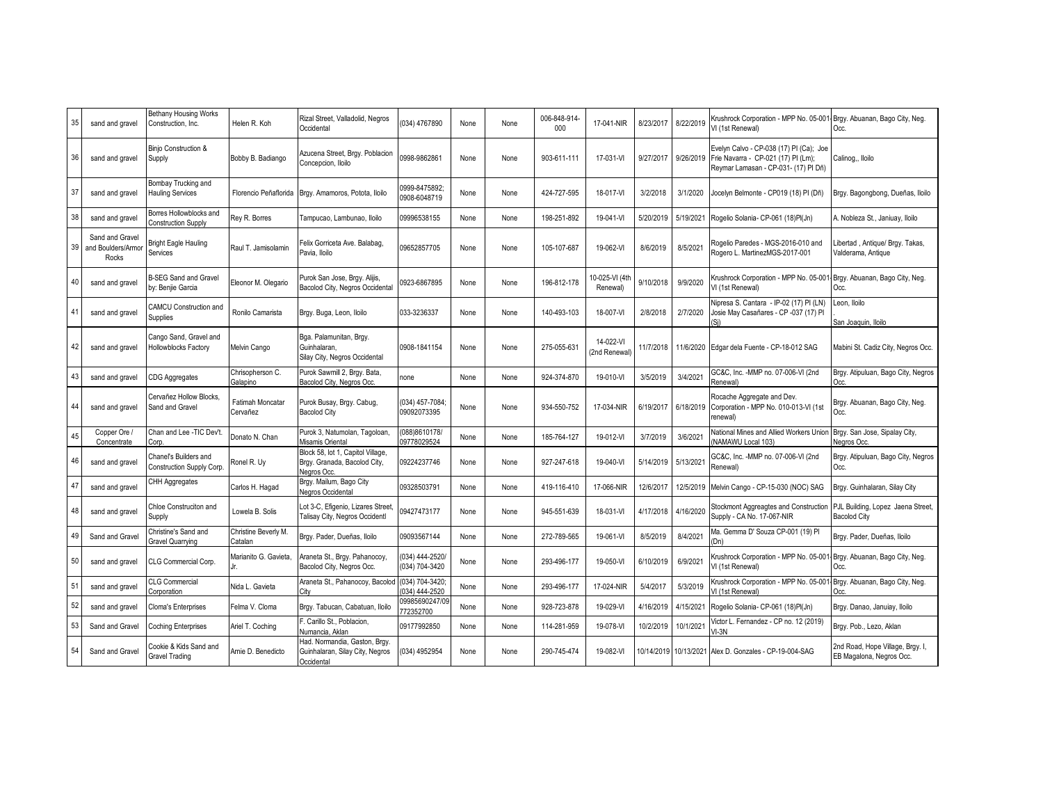| 35 | sand and gravel                                | <b>Bethany Housing Works</b><br>Construction, Inc.    | Helen R. Koh                        | Rizal Street, Valladolid, Negros<br>Occidental                                   | (034) 4767890                     | None | None | 006-848-914-<br>$000 -$ | 17-041-NIR                 | 8/23/2017 | 8/22/2019 | Krushrock Corporation - MPP No. 05-001<br>VI (1st Renewal)                                                             | - Brgy. Abuanan, Bago City, Neg.<br>Occ.                     |
|----|------------------------------------------------|-------------------------------------------------------|-------------------------------------|----------------------------------------------------------------------------------|-----------------------------------|------|------|-------------------------|----------------------------|-----------|-----------|------------------------------------------------------------------------------------------------------------------------|--------------------------------------------------------------|
| 36 | sand and gravel                                | Binjo Construction &<br>Supply                        | Bobby B. Badiango                   | Azucena Street, Brgy. Poblacion<br>Concepcion, Iloilo                            | 0998-9862861                      | None | None | 903-611-111             | 17-031-VI                  | 9/27/2017 | 9/26/2019 | Evelyn Calvo - CP-038 (17) PI (Ca); Joe<br>Frie Navarra - CP-021 (17) PI (Lm);<br>Reymar Lamasan - CP-031- (17) PI Dñ) | Calinog., Iloilo                                             |
| 37 | sand and gravel                                | Bombay Trucking and<br><b>Hauling Services</b>        | Florencio Peñaflorida               | Brgy. Amamoros, Potota, Iloilo                                                   | 0999-8475892<br>0908-6048719      | None | None | 424-727-595             | 18-017-VI                  | 3/2/2018  | 3/1/2020  | Jocelyn Belmonte - CP019 (18) PI (Dñ)                                                                                  | Brgy. Bagongbong, Dueñas, Iloilo                             |
| 38 | sand and gravel                                | Borres Hollowblocks and<br>Construction Supply        | Rey R. Borres                       | Fampucao, Lambunao, Iloilo                                                       | 09996538155                       | None | None | 198-251-892             | 19-041-VI                  | 5/20/2019 | 5/19/2021 | Rogelio Solania- CP-061 (18)Pl(Jn)                                                                                     | A. Nobleza St., Janiuay, Iloilo                              |
| 39 | Sand and Gravel<br>and Boulders/Armor<br>Rocks | Bright Eagle Hauling<br>Services                      | Raul T. Jamisolamin                 | Felix Gorriceta Ave. Balabaq<br>Pavia, Iloilo                                    | 09652857705                       | None | None | 105-107-687             | 19-062-VI                  | 8/6/2019  | 8/5/2021  | Rogelio Paredes - MGS-2016-010 and<br>Rogero L. MartinezMGS-2017-001                                                   | ibertad, Antique/ Brgy. Takas,<br>Valderama, Antique         |
| 40 | sand and gravel                                | <b>B-SEG Sand and Gravel</b><br>by: Benjie Garcia     | Eleonor M. Olegario                 | Purok San Jose, Brgy. Alijis,<br>Bacolod City, Negros Occidental                 | 0923-6867895                      | None | None | 196-812-178             | 10-025-VI (4th<br>Renewal) | 9/10/2018 | 9/9/2020  | Krushrock Corporation - MPP No. 05-001<br>VI (1st Renewal)                                                             | - Brgy. Abuanan, Bago City, Neg.<br>Occ.                     |
| 41 | sand and gravel                                | <b>CAMCU Construction and</b><br>Supplies             | Ronilo Camarista                    | Brgy. Buga, Leon, Iloilo                                                         | 033-3236337                       | None | None | 140-493-103             | 18-007-VI                  | 2/8/2018  | 2/7/2020  | Vipresa S. Cantara - IP-02 (17) PI (LN)<br>Josie May Casañares - CP -037 (17) Pl                                       | Leon, Iloilo<br>San Joaquin, Iloilo                          |
| 42 | sand and gravel                                | Cango Sand, Gravel and<br><b>Hollowblocks Factory</b> | Melvin Cango                        | Bga. Palamunitan, Brgy.<br>Guinhalaran,<br>Silay City, Negros Occidental         | 0908-1841154                      | None | None | 275-055-631             | 14-022-VI<br>(2nd Renewal) | 11/7/2018 | 11/6/2020 | Edgar dela Fuente - CP-18-012 SAG                                                                                      | Mabini St. Cadiz City, Negros Occ.                           |
| 43 | sand and gravel                                | CDG Aggregates                                        | Chrisopherson C.<br>Galapino        | Purok Sawmill 2, Brgy. Bata,<br>Bacolod City, Negros Occ.                        | none                              | None | None | 924-374-870             | 19-010-VI                  | 3/5/2019  | 3/4/2021  | GC&C, Inc. -MMP no. 07-006-VI (2nd<br>Renewal)                                                                         | Brgy. Atipuluan, Bago City, Negros<br>Occ.                   |
| 44 | sand and gravel                                | Cervañez Hollow Blocks.<br>Sand and Gravel            | <b>Fatimah Moncatar</b><br>Cervañez | Purok Busay, Brgy. Cabug,<br><b>Bacolod City</b>                                 | (034) 457-7084;<br>09092073395    | None | None | 934-550-752             | 17-034-NIR                 | 6/19/2017 | 6/18/2019 | Rocache Aggregate and Dev.<br>Corporation - MPP No. 010-013-VI (1st<br>enewal)                                         | Brgy. Abuanan, Bago City, Neg.<br>Occ.                       |
| 45 | Copper Ore /<br>Concentrate                    | Chan and Lee -TIC Dev't.<br>Corp.                     | Jonato N. Chan                      | Purok 3, Natumolan, Tagoloan,<br>Misamis Oriental                                | (088)8610178/<br>09778029524      | None | None | 185-764-127             | 19-012-VI                  | 3/7/2019  | 3/6/2021  | National Mines and Allied Workers Union<br>NAMAWU Local 103)                                                           | Brgy. San Jose, Sipalay City,<br>Negros Occ.                 |
| 46 | sand and gravel                                | Chanel's Builders and<br>Construction Supply Corp.    | Ronel R. Uy                         | Block 58, lot 1, Capitol Village,<br>Brgy. Granada, Bacolod City,<br>Nearos Occ. | 09224237746                       | None | None | 927-247-618             | 19-040-VI                  | 5/14/2019 | 5/13/2021 | GC&C, Inc. -MMP no. 07-006-VI (2nd<br>Renewal)                                                                         | Brgy. Atipuluan, Bago City, Negros<br>Occ.                   |
| 47 | sand and gravel                                | CHH Aggregates                                        | Carlos H. Hagad                     | Brgy. Mailum, Bago City<br>Negros Occidental                                     | 09328503791                       | None | None | 419-116-410             | 17-066-NIR                 | 12/6/2017 | 12/5/2019 | Melvin Cango - CP-15-030 (NOC) SAG                                                                                     | Brgy. Guinhalaran, Silay City                                |
| 48 | sand and gravel                                | Chloe Construciton and<br>Supply                      | Lowela B. Solis                     | Lot 3-C, Efigenio, Lizares Street,<br><b>Talisay City, Negros Occidentl</b>      | 09427473177                       | None | None | 945-551-639             | 18-031-VI                  | 4/17/2018 | 4/16/2020 | Stockmont Aggreagtes and Construction<br>Supply - CA No. 17-067-NIR                                                    | PJL Building, Lopez Jaena Street,<br><b>Bacolod City</b>     |
| 49 | Sand and Gravel                                | Christine's Sand and<br>Gravel Quarrying              | Christine Beverly M.<br>Catalan     | Brgy. Pader, Dueñas, Iloilo                                                      | 09093567144                       | None | None | 272-789-565             | 19-061-VI                  | 8/5/2019  | 8/4/2021  | Ma. Gemma D' Souza CP-001 (19) Pl<br>Dn)                                                                               | Brgy. Pader, Dueñas, Iloilo                                  |
| 50 | sand and gravel                                | CLG Commercial Corp.                                  | Marianito G. Gavieta,               | Araneta St., Brgy. Pahanocoy,<br>Bacolod City, Negros Occ.                       | (034) 444-2520/<br>(034) 704-3420 | None | None | 293-496-177             | 19-050-VI                  | 6/10/2019 | 6/9/2021  | <b>Krushrock Corporation - MPP No. 05-001</b><br>VI (1st Renewal)                                                      | Brgy. Abuanan, Bago City, Neg.<br>Occ.                       |
| 51 | sand and gravel                                | <b>CLG Commercial</b><br>Corporation                  | Nida L. Gavieta                     | Araneta St., Pahanocoy, Bacolod<br>City                                          | (034) 704-3420;<br>(034) 444-2520 | None | None | 293-496-177             | 17-024-NIR                 | 5/4/2017  | 5/3/2019  | Krushrock Corporation - MPP No. 05-00<br>VI (1st Renewal)                                                              | Brgy. Abuanan, Bago City, Neg.<br>Occ.                       |
| 52 | sand and gravel                                | Cloma's Enterprises                                   | Felma V. Cloma                      | Brgy. Tabucan, Cabatuan, Iloilo                                                  | 09985690247/09<br>72352700        | None | None | 928-723-878             | 19-029-VI                  | 4/16/2019 | 4/15/2021 | Rogelio Solania- CP-061 (18)Pl(Jn)                                                                                     | Brgy. Danao, Januiay, Iloilo                                 |
| 53 | Sand and Gravel                                | Coching Enterprises                                   | Ariel T. Coching                    | Carillo St., Poblacion,<br>Numancia, Aklan                                       | 09177992850                       | None | None | 114-281-959             | 19-078-VI                  | 10/2/2019 | 10/1/2021 | /ictor L. Fernandez - CP no. 12 (2019)<br>$VI-3N$                                                                      | Brgy. Pob., Lezo, Aklan                                      |
| 54 | Sand and Gravel                                | Cookie & Kids Sand and<br>Gravel Trading              | Arnie D. Benedicto                  | Had. Normandia, Gaston, Brgy.<br>Guinhalaran, Silay City, Negros<br>Occidental   | (034) 4952954                     | None | None | 290-745-474             | 19-082-VI                  |           |           | 10/14/2019 10/13/2021 Alex D. Gonzales - CP-19-004-SAG                                                                 | 2nd Road, Hope Village, Brgy. I,<br>EB Magalona, Negros Occ. |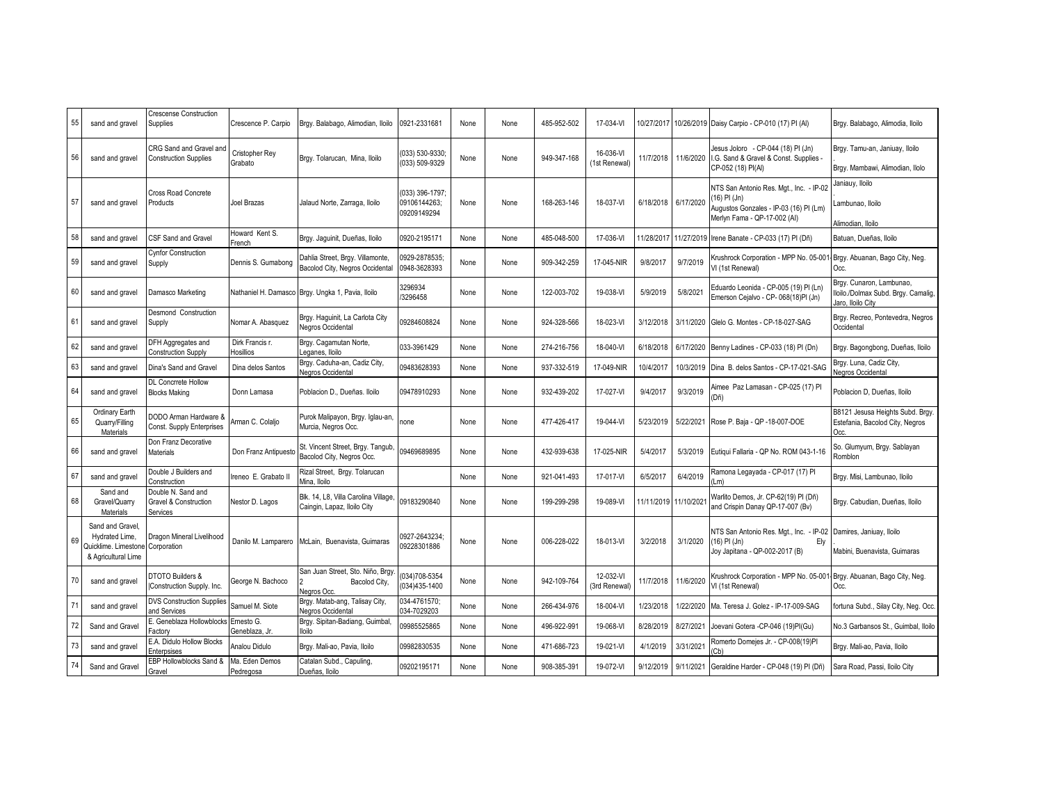| CRG Sand and Gravel and<br>Jesus Joloro - CP-044 (18) PI (Jn)<br>Brgy. Tamu-an, Janiuay, Iloilo<br>16-036-VI<br>Cristopher Rey<br>(033) 530-9330;<br>56<br>949-347-168<br>11/7/2018<br>11/6/2020<br><b>Construction Supplies</b><br>I.G. Sand & Gravel & Const. Supplies<br>sand and gravel<br>Brgy. Tolarucan, Mina, Iloilo<br>None<br>None<br>(033) 509-9329<br>Grabato<br>(1st Renewal)<br>CP-052 (18) PI(AI)<br>Brgy. Mambawi, Alimodian, Ilolo<br>Janiauy, Iloilo<br>NTS San Antonio Res. Mgt., Inc. - IP-02<br>Cross Road Concrete<br>(033) 396-1797:<br>16) PI (Jn)<br>57<br>09106144263<br>168-263-146<br>18-037-VI<br>6/17/2020<br>sand and gravel<br>Products<br>Joel Brazas<br>Jalaud Norte, Zarraga, Iloilo<br>None<br>6/18/2018<br>None<br>ambunao, Iloilo<br>Augustos Gonzales - IP-03 (16) PI (Lm)<br>09209149294<br>Merlyn Fama - QP-17-002 (AI)<br>Alimodian, Iloilo<br>Howard Kent S.<br>58<br><b>CSF Sand and Gravel</b><br>Brgy. Jaguinit, Dueñas, Iloilo<br>0920-2195171<br>485-048-500<br>17-036-VI<br>11/28/2017<br>11/27/2019<br>Irene Banate - CP-033 (17) PI (Dñ)<br>sand and gravel<br>None<br>Batuan, Dueñas, Iloilo<br>None<br>French<br><b>Cynfor Construction</b><br>0929-2878535:<br>Dahlia Street, Brgy. Villamonte,<br>Krushrock Corporation - MPP No. 05-001<br>Brgy. Abuanan, Bago City, Neg.<br>59<br>909-342-259<br>17-045-NIR<br>9/8/2017<br>9/7/2019<br>Dennis S. Gumabong<br>None<br>sand and gravel<br>Supply<br>None<br>0948-3628393<br>Bacolod City, Negros Occidental<br>VI (1st Renewal)<br>Occ.<br>Brgy. Cunaron, Lambunao,<br>3296934<br>Eduardo Leonida - CP-005 (19) Pl (Ln)<br>60<br>122-003-702<br>19-038-VI<br>5/9/2019<br>5/8/2021<br>sand and gravel<br>Damasco Marketing<br>Nathaniel H. Damasco<br>Brgy. Ungka 1, Pavia, Iloilo<br>None<br>None<br>3296458<br>Emerson Cejalvo - CP- 068(18)PI (Jn)<br>Jaro. Iloilo Citv<br>Desmond Construction<br>Brgy. Haguinit, La Carlota City<br>61<br>09284608824<br>924-328-566<br>18-023-VI<br>3/12/2018<br>3/11/2020<br>Glelo G. Montes - CP-18-027-SAG<br>sand and gravel<br>Nomar A. Abasquez<br>None<br>None<br>Supply<br>Negros Occidental<br>Occidental<br>DFH Aggregates and<br>Dirk Francis r.<br>Brgy. Cagamutan Norte,<br>62<br>033-3961429<br>274-216-756<br>18-040-VI<br>6/18/2018<br>6/17/2020<br>sand and gravel<br>Benny Ladines - CP-033 (18) PI (Dn)<br>None<br>None<br><b>Construction Supply</b><br><b>Hosillios</b><br>eganes, Iloilo<br>Brgy. Caduha-an, Cadiz City,<br>Brgy. Luna, Cadiz City,<br>63<br>Dina's Sand and Grave<br>Dina delos Santos<br>09483628393<br>937-332-519<br>17-049-NIR<br>10/4/2017<br>10/3/2019<br>Dina B. delos Santos - CP-17-021-SAG<br>sand and gravel<br>None<br>None<br>Negros Occidental<br>Negros Occidental<br>DL Concrrete Hollow<br>Aimee Paz Lamasan - CP-025 (17) PI<br>64<br>9/3/2019<br><b>Blocks Making</b><br>Donn Lamasa<br>Poblacion D., Dueñas, Iloilo<br>09478910293<br>932-439-202<br>17-027-VI<br>9/4/2017<br>Poblacion D. Dueñas, Iloilo<br>sand and gravel<br>None<br>None<br>(Dñ)<br>Ordinary Earth<br>DODO Arman Hardware &<br>Purok Malipayon, Brgy. Iglau-an,<br>65<br>5/23/2019<br>Arman C. Colalio<br>477-426-417<br>19-044-VI<br>5/22/2021<br>Rose P. Baja - QP -18-007-DOE<br>Quarry/Filling<br>Estefania, Bacolod City, Negros<br>none<br>None<br>None<br>Const. Supply Enterprises<br>Murcia, Negros Occ.<br>Materials<br>Occ.<br>Don Franz Decorative<br>St. Vincent Street, Brgy. Tangub,<br>So. Glumyum, Brgy. Sablayan<br>66<br>09469689895<br>432-939-638<br>17-025-NIR<br>5/4/2017<br>5/3/2019<br>Eutiqui Fallaria - QP No. ROM 043-1-16<br>sand and gravel<br><b>Materials</b><br>Don Franz Antipuesto<br>None<br>None<br>Bacolod City, Negros Occ.<br>Romblon<br>Double J Builders and<br>Rizal Street, Brgy. Tolarucan<br>Ramona Legayada - CP-017 (17) Pl<br>67<br>reneo E. Grabato II<br>921-041-493<br>17-017-VI<br>6/5/2017<br>6/4/2019<br>Brgy. Misi, Lambunao, Iloilo<br>sand and gravel<br>None<br>None<br>Construction<br>Mina, Iloilo<br> m <br>Sand and<br>Double N. Sand and<br>Blk. 14, L8, Villa Carolina Village,<br>Varlito Demos, Jr. CP-62(19) PI (Dñ)<br>68<br>09183290840<br>199-299-298<br>19-089-VI<br>11/11/2019 11/10/202<br>Gravel/Quarry<br>Nestor D. Lagos<br>None<br>Brgy. Cabudian, Dueñas, Iloilo<br>Gravel & Construction<br>None<br>Caingin, Lapaz, Iloilo City<br>and Crispin Danay QP-17-007 (Bv)<br><b>Materials</b><br>Services<br>Sand and Gravel.<br>NTS San Antonio Res. Mgt., Inc. - IP-02<br>Damires, Janiuay, Iloilo<br>0927-2643234;<br>Hydrated Lime,<br>Dragon Mineral Livelihood<br>69<br>006-228-022<br>18-013-VI<br>3/2/2018<br>3/1/2020<br>Danilo M. Lamparero<br>McLain, Buenavista, Guimaras<br>None<br>None<br>(16) PI (Jn)<br>Ely<br>09228301886<br>Quicklime. Limestone Corporation<br>Joy Japitana - QP-002-2017 (B)<br>Mabini, Buenavista, Guimaras<br>& Agricultural Lime<br>San Juan Street, Sto. Niño, Brgy<br>034)708-5354<br>DTOTO Builders &<br>12-032-VI<br>Krushrock Corporation - MPP No. 05-001<br>Brgy. Abuanan, Bago City, Neg.<br>70<br>George N. Bachoco<br>942-109-764<br>11/7/2018<br>11/6/2020<br>sand and gravel<br>Bacolod City,<br>None<br>None<br>Construction Supply. Inc.<br>(034)435-1400<br>3rd Renewal<br>VI (1st Renewal)<br>Occ.<br>Negros Occ.<br>Brgy. Matab-ang, Talisay City,<br>034-4761570;<br><b>DVS Construction Supplies</b><br>71<br>Samuel M. Siote<br>266-434-976<br>18-004-VI<br>1/23/2018<br>Ma. Teresa J. Golez - IP-17-009-SAG<br>sand and gravel<br>None<br>1/22/2020<br>None<br>034-7029203<br>and Services<br>Negros Occidental<br>E. Geneblaza Hollowblocks<br>Brgy. Sipitan-Badiang, Guimbal,<br>Ernesto G.<br>72<br>09985525865<br>496-922-991<br>19-068-VI<br>8/28/2019<br>8/27/2021<br>loevani Gotera -CP-046 (19)PI(Gu)<br>Sand and Gravel<br>None<br>None<br>Geneblaza, Jr.<br>lloilo<br>Factory<br>E.A. Didulo Hollow Blocks<br>Romerto Domejes Jr. - CP-008(19)PI<br>73<br>471-686-723<br>19-021-VI<br>3/31/2021<br>Analou Didulo<br>Brgy. Mali-ao, Pavia, Iloilo<br>09982830535<br>4/1/2019<br>sand and gravel<br>None<br>None<br>Brgy. Mali-ao, Pavia, Iloilo<br>Cb)<br>Enterpsises<br>EBP Hollowblocks Sand &<br>Ma. Eden Demos<br>Catalan Subd., Capuling,<br>74<br>Sand and Gravel<br>09202195171<br>908-385-391<br>19-072-VI<br>9/12/2019<br>9/11/2021<br>None<br>Geraldine Harder - CP-048 (19) PI (Dñ)<br>Sara Road, Passi, Iloilo City<br>None<br>Dueñas, Iloilo<br>Gravel<br>Pedregosa | 55 | sand and gravel | <b>Crescense Construction</b><br><b>Supplies</b> | Crescence P. Carpio | Brgy. Balabago, Alimodian, Iloilo | 0921-2331681 | None | None | 485-952-502 | 17-034-VI | 10/27/2017 | 10/26/2019 Daisy Carpio - CP-010 (17) PI (Al) | Brgy. Balabago, Alimodia, Iloilo     |
|-------------------------------------------------------------------------------------------------------------------------------------------------------------------------------------------------------------------------------------------------------------------------------------------------------------------------------------------------------------------------------------------------------------------------------------------------------------------------------------------------------------------------------------------------------------------------------------------------------------------------------------------------------------------------------------------------------------------------------------------------------------------------------------------------------------------------------------------------------------------------------------------------------------------------------------------------------------------------------------------------------------------------------------------------------------------------------------------------------------------------------------------------------------------------------------------------------------------------------------------------------------------------------------------------------------------------------------------------------------------------------------------------------------------------------------------------------------------------------------------------------------------------------------------------------------------------------------------------------------------------------------------------------------------------------------------------------------------------------------------------------------------------------------------------------------------------------------------------------------------------------------------------------------------------------------------------------------------------------------------------------------------------------------------------------------------------------------------------------------------------------------------------------------------------------------------------------------------------------------------------------------------------------------------------------------------------------------------------------------------------------------------------------------------------------------------------------------------------------------------------------------------------------------------------------------------------------------------------------------------------------------------------------------------------------------------------------------------------------------------------------------------------------------------------------------------------------------------------------------------------------------------------------------------------------------------------------------------------------------------------------------------------------------------------------------------------------------------------------------------------------------------------------------------------------------------------------------------------------------------------------------------------------------------------------------------------------------------------------------------------------------------------------------------------------------------------------------------------------------------------------------------------------------------------------------------------------------------------------------------------------------------------------------------------------------------------------------------------------------------------------------------------------------------------------------------------------------------------------------------------------------------------------------------------------------------------------------------------------------------------------------------------------------------------------------------------------------------------------------------------------------------------------------------------------------------------------------------------------------------------------------------------------------------------------------------------------------------------------------------------------------------------------------------------------------------------------------------------------------------------------------------------------------------------------------------------------------------------------------------------------------------------------------------------------------------------------------------------------------------------------------------------------------------------------------------------------------------------------------------------------------------------------------------------------------------------------------------------------------------------------------------------------------------------------------------------------------------------------------------------------------------------------------------------------------------------------------------------------------------------------------------------------------------------------------------------------------------------------------------------------------------------------------------------------------------------------------------------------------------------------------------------------------------------------------------------------------------------------------------------------------------------------------------------------------------------------------------------------------------------------------------------------------------------------------------------------------------------------------------------------------------------------------------------------------------------------------------------------------------------------------------------------------------------------------------------------------------------------------------------------------------------------------------------------------------------------------------------------------------------------------------------------------------------------------------------------------------------------------------------------------------------------------------------------------------------------------------------------------------------------------|----|-----------------|--------------------------------------------------|---------------------|-----------------------------------|--------------|------|------|-------------|-----------|------------|-----------------------------------------------|--------------------------------------|
|                                                                                                                                                                                                                                                                                                                                                                                                                                                                                                                                                                                                                                                                                                                                                                                                                                                                                                                                                                                                                                                                                                                                                                                                                                                                                                                                                                                                                                                                                                                                                                                                                                                                                                                                                                                                                                                                                                                                                                                                                                                                                                                                                                                                                                                                                                                                                                                                                                                                                                                                                                                                                                                                                                                                                                                                                                                                                                                                                                                                                                                                                                                                                                                                                                                                                                                                                                                                                                                                                                                                                                                                                                                                                                                                                                                                                                                                                                                                                                                                                                                                                                                                                                                                                                                                                                                                                                                                                                                                                                                                                                                                                                                                                                                                                                                                                                                                                                                                                                                                                                                                                                                                                                                                                                                                                                                                                                                                                                                                                                                                                                                                                                                                                                                                                                                                                                                                                                                                                                                                                                                                                                                                                                                                                                                                                                                                                                                                                                                                                                             |    |                 |                                                  |                     |                                   |              |      |      |             |           |            |                                               |                                      |
|                                                                                                                                                                                                                                                                                                                                                                                                                                                                                                                                                                                                                                                                                                                                                                                                                                                                                                                                                                                                                                                                                                                                                                                                                                                                                                                                                                                                                                                                                                                                                                                                                                                                                                                                                                                                                                                                                                                                                                                                                                                                                                                                                                                                                                                                                                                                                                                                                                                                                                                                                                                                                                                                                                                                                                                                                                                                                                                                                                                                                                                                                                                                                                                                                                                                                                                                                                                                                                                                                                                                                                                                                                                                                                                                                                                                                                                                                                                                                                                                                                                                                                                                                                                                                                                                                                                                                                                                                                                                                                                                                                                                                                                                                                                                                                                                                                                                                                                                                                                                                                                                                                                                                                                                                                                                                                                                                                                                                                                                                                                                                                                                                                                                                                                                                                                                                                                                                                                                                                                                                                                                                                                                                                                                                                                                                                                                                                                                                                                                                                             |    |                 |                                                  |                     |                                   |              |      |      |             |           |            |                                               |                                      |
|                                                                                                                                                                                                                                                                                                                                                                                                                                                                                                                                                                                                                                                                                                                                                                                                                                                                                                                                                                                                                                                                                                                                                                                                                                                                                                                                                                                                                                                                                                                                                                                                                                                                                                                                                                                                                                                                                                                                                                                                                                                                                                                                                                                                                                                                                                                                                                                                                                                                                                                                                                                                                                                                                                                                                                                                                                                                                                                                                                                                                                                                                                                                                                                                                                                                                                                                                                                                                                                                                                                                                                                                                                                                                                                                                                                                                                                                                                                                                                                                                                                                                                                                                                                                                                                                                                                                                                                                                                                                                                                                                                                                                                                                                                                                                                                                                                                                                                                                                                                                                                                                                                                                                                                                                                                                                                                                                                                                                                                                                                                                                                                                                                                                                                                                                                                                                                                                                                                                                                                                                                                                                                                                                                                                                                                                                                                                                                                                                                                                                                             |    |                 |                                                  |                     |                                   |              |      |      |             |           |            |                                               |                                      |
|                                                                                                                                                                                                                                                                                                                                                                                                                                                                                                                                                                                                                                                                                                                                                                                                                                                                                                                                                                                                                                                                                                                                                                                                                                                                                                                                                                                                                                                                                                                                                                                                                                                                                                                                                                                                                                                                                                                                                                                                                                                                                                                                                                                                                                                                                                                                                                                                                                                                                                                                                                                                                                                                                                                                                                                                                                                                                                                                                                                                                                                                                                                                                                                                                                                                                                                                                                                                                                                                                                                                                                                                                                                                                                                                                                                                                                                                                                                                                                                                                                                                                                                                                                                                                                                                                                                                                                                                                                                                                                                                                                                                                                                                                                                                                                                                                                                                                                                                                                                                                                                                                                                                                                                                                                                                                                                                                                                                                                                                                                                                                                                                                                                                                                                                                                                                                                                                                                                                                                                                                                                                                                                                                                                                                                                                                                                                                                                                                                                                                                             |    |                 |                                                  |                     |                                   |              |      |      |             |           |            |                                               |                                      |
|                                                                                                                                                                                                                                                                                                                                                                                                                                                                                                                                                                                                                                                                                                                                                                                                                                                                                                                                                                                                                                                                                                                                                                                                                                                                                                                                                                                                                                                                                                                                                                                                                                                                                                                                                                                                                                                                                                                                                                                                                                                                                                                                                                                                                                                                                                                                                                                                                                                                                                                                                                                                                                                                                                                                                                                                                                                                                                                                                                                                                                                                                                                                                                                                                                                                                                                                                                                                                                                                                                                                                                                                                                                                                                                                                                                                                                                                                                                                                                                                                                                                                                                                                                                                                                                                                                                                                                                                                                                                                                                                                                                                                                                                                                                                                                                                                                                                                                                                                                                                                                                                                                                                                                                                                                                                                                                                                                                                                                                                                                                                                                                                                                                                                                                                                                                                                                                                                                                                                                                                                                                                                                                                                                                                                                                                                                                                                                                                                                                                                                             |    |                 |                                                  |                     |                                   |              |      |      |             |           |            |                                               | Iloilo./Dolmax Subd. Brgy. Camalig,  |
|                                                                                                                                                                                                                                                                                                                                                                                                                                                                                                                                                                                                                                                                                                                                                                                                                                                                                                                                                                                                                                                                                                                                                                                                                                                                                                                                                                                                                                                                                                                                                                                                                                                                                                                                                                                                                                                                                                                                                                                                                                                                                                                                                                                                                                                                                                                                                                                                                                                                                                                                                                                                                                                                                                                                                                                                                                                                                                                                                                                                                                                                                                                                                                                                                                                                                                                                                                                                                                                                                                                                                                                                                                                                                                                                                                                                                                                                                                                                                                                                                                                                                                                                                                                                                                                                                                                                                                                                                                                                                                                                                                                                                                                                                                                                                                                                                                                                                                                                                                                                                                                                                                                                                                                                                                                                                                                                                                                                                                                                                                                                                                                                                                                                                                                                                                                                                                                                                                                                                                                                                                                                                                                                                                                                                                                                                                                                                                                                                                                                                                             |    |                 |                                                  |                     |                                   |              |      |      |             |           |            |                                               | Brgy. Recreo, Pontevedra, Negros     |
|                                                                                                                                                                                                                                                                                                                                                                                                                                                                                                                                                                                                                                                                                                                                                                                                                                                                                                                                                                                                                                                                                                                                                                                                                                                                                                                                                                                                                                                                                                                                                                                                                                                                                                                                                                                                                                                                                                                                                                                                                                                                                                                                                                                                                                                                                                                                                                                                                                                                                                                                                                                                                                                                                                                                                                                                                                                                                                                                                                                                                                                                                                                                                                                                                                                                                                                                                                                                                                                                                                                                                                                                                                                                                                                                                                                                                                                                                                                                                                                                                                                                                                                                                                                                                                                                                                                                                                                                                                                                                                                                                                                                                                                                                                                                                                                                                                                                                                                                                                                                                                                                                                                                                                                                                                                                                                                                                                                                                                                                                                                                                                                                                                                                                                                                                                                                                                                                                                                                                                                                                                                                                                                                                                                                                                                                                                                                                                                                                                                                                                             |    |                 |                                                  |                     |                                   |              |      |      |             |           |            |                                               | Brgy. Bagongbong, Dueñas, Iloilo     |
|                                                                                                                                                                                                                                                                                                                                                                                                                                                                                                                                                                                                                                                                                                                                                                                                                                                                                                                                                                                                                                                                                                                                                                                                                                                                                                                                                                                                                                                                                                                                                                                                                                                                                                                                                                                                                                                                                                                                                                                                                                                                                                                                                                                                                                                                                                                                                                                                                                                                                                                                                                                                                                                                                                                                                                                                                                                                                                                                                                                                                                                                                                                                                                                                                                                                                                                                                                                                                                                                                                                                                                                                                                                                                                                                                                                                                                                                                                                                                                                                                                                                                                                                                                                                                                                                                                                                                                                                                                                                                                                                                                                                                                                                                                                                                                                                                                                                                                                                                                                                                                                                                                                                                                                                                                                                                                                                                                                                                                                                                                                                                                                                                                                                                                                                                                                                                                                                                                                                                                                                                                                                                                                                                                                                                                                                                                                                                                                                                                                                                                             |    |                 |                                                  |                     |                                   |              |      |      |             |           |            |                                               |                                      |
|                                                                                                                                                                                                                                                                                                                                                                                                                                                                                                                                                                                                                                                                                                                                                                                                                                                                                                                                                                                                                                                                                                                                                                                                                                                                                                                                                                                                                                                                                                                                                                                                                                                                                                                                                                                                                                                                                                                                                                                                                                                                                                                                                                                                                                                                                                                                                                                                                                                                                                                                                                                                                                                                                                                                                                                                                                                                                                                                                                                                                                                                                                                                                                                                                                                                                                                                                                                                                                                                                                                                                                                                                                                                                                                                                                                                                                                                                                                                                                                                                                                                                                                                                                                                                                                                                                                                                                                                                                                                                                                                                                                                                                                                                                                                                                                                                                                                                                                                                                                                                                                                                                                                                                                                                                                                                                                                                                                                                                                                                                                                                                                                                                                                                                                                                                                                                                                                                                                                                                                                                                                                                                                                                                                                                                                                                                                                                                                                                                                                                                             |    |                 |                                                  |                     |                                   |              |      |      |             |           |            |                                               |                                      |
|                                                                                                                                                                                                                                                                                                                                                                                                                                                                                                                                                                                                                                                                                                                                                                                                                                                                                                                                                                                                                                                                                                                                                                                                                                                                                                                                                                                                                                                                                                                                                                                                                                                                                                                                                                                                                                                                                                                                                                                                                                                                                                                                                                                                                                                                                                                                                                                                                                                                                                                                                                                                                                                                                                                                                                                                                                                                                                                                                                                                                                                                                                                                                                                                                                                                                                                                                                                                                                                                                                                                                                                                                                                                                                                                                                                                                                                                                                                                                                                                                                                                                                                                                                                                                                                                                                                                                                                                                                                                                                                                                                                                                                                                                                                                                                                                                                                                                                                                                                                                                                                                                                                                                                                                                                                                                                                                                                                                                                                                                                                                                                                                                                                                                                                                                                                                                                                                                                                                                                                                                                                                                                                                                                                                                                                                                                                                                                                                                                                                                                             |    |                 |                                                  |                     |                                   |              |      |      |             |           |            |                                               | B8121 Jesusa Heights Subd. Brgy.     |
|                                                                                                                                                                                                                                                                                                                                                                                                                                                                                                                                                                                                                                                                                                                                                                                                                                                                                                                                                                                                                                                                                                                                                                                                                                                                                                                                                                                                                                                                                                                                                                                                                                                                                                                                                                                                                                                                                                                                                                                                                                                                                                                                                                                                                                                                                                                                                                                                                                                                                                                                                                                                                                                                                                                                                                                                                                                                                                                                                                                                                                                                                                                                                                                                                                                                                                                                                                                                                                                                                                                                                                                                                                                                                                                                                                                                                                                                                                                                                                                                                                                                                                                                                                                                                                                                                                                                                                                                                                                                                                                                                                                                                                                                                                                                                                                                                                                                                                                                                                                                                                                                                                                                                                                                                                                                                                                                                                                                                                                                                                                                                                                                                                                                                                                                                                                                                                                                                                                                                                                                                                                                                                                                                                                                                                                                                                                                                                                                                                                                                                             |    |                 |                                                  |                     |                                   |              |      |      |             |           |            |                                               |                                      |
|                                                                                                                                                                                                                                                                                                                                                                                                                                                                                                                                                                                                                                                                                                                                                                                                                                                                                                                                                                                                                                                                                                                                                                                                                                                                                                                                                                                                                                                                                                                                                                                                                                                                                                                                                                                                                                                                                                                                                                                                                                                                                                                                                                                                                                                                                                                                                                                                                                                                                                                                                                                                                                                                                                                                                                                                                                                                                                                                                                                                                                                                                                                                                                                                                                                                                                                                                                                                                                                                                                                                                                                                                                                                                                                                                                                                                                                                                                                                                                                                                                                                                                                                                                                                                                                                                                                                                                                                                                                                                                                                                                                                                                                                                                                                                                                                                                                                                                                                                                                                                                                                                                                                                                                                                                                                                                                                                                                                                                                                                                                                                                                                                                                                                                                                                                                                                                                                                                                                                                                                                                                                                                                                                                                                                                                                                                                                                                                                                                                                                                             |    |                 |                                                  |                     |                                   |              |      |      |             |           |            |                                               |                                      |
|                                                                                                                                                                                                                                                                                                                                                                                                                                                                                                                                                                                                                                                                                                                                                                                                                                                                                                                                                                                                                                                                                                                                                                                                                                                                                                                                                                                                                                                                                                                                                                                                                                                                                                                                                                                                                                                                                                                                                                                                                                                                                                                                                                                                                                                                                                                                                                                                                                                                                                                                                                                                                                                                                                                                                                                                                                                                                                                                                                                                                                                                                                                                                                                                                                                                                                                                                                                                                                                                                                                                                                                                                                                                                                                                                                                                                                                                                                                                                                                                                                                                                                                                                                                                                                                                                                                                                                                                                                                                                                                                                                                                                                                                                                                                                                                                                                                                                                                                                                                                                                                                                                                                                                                                                                                                                                                                                                                                                                                                                                                                                                                                                                                                                                                                                                                                                                                                                                                                                                                                                                                                                                                                                                                                                                                                                                                                                                                                                                                                                                             |    |                 |                                                  |                     |                                   |              |      |      |             |           |            |                                               |                                      |
|                                                                                                                                                                                                                                                                                                                                                                                                                                                                                                                                                                                                                                                                                                                                                                                                                                                                                                                                                                                                                                                                                                                                                                                                                                                                                                                                                                                                                                                                                                                                                                                                                                                                                                                                                                                                                                                                                                                                                                                                                                                                                                                                                                                                                                                                                                                                                                                                                                                                                                                                                                                                                                                                                                                                                                                                                                                                                                                                                                                                                                                                                                                                                                                                                                                                                                                                                                                                                                                                                                                                                                                                                                                                                                                                                                                                                                                                                                                                                                                                                                                                                                                                                                                                                                                                                                                                                                                                                                                                                                                                                                                                                                                                                                                                                                                                                                                                                                                                                                                                                                                                                                                                                                                                                                                                                                                                                                                                                                                                                                                                                                                                                                                                                                                                                                                                                                                                                                                                                                                                                                                                                                                                                                                                                                                                                                                                                                                                                                                                                                             |    |                 |                                                  |                     |                                   |              |      |      |             |           |            |                                               |                                      |
|                                                                                                                                                                                                                                                                                                                                                                                                                                                                                                                                                                                                                                                                                                                                                                                                                                                                                                                                                                                                                                                                                                                                                                                                                                                                                                                                                                                                                                                                                                                                                                                                                                                                                                                                                                                                                                                                                                                                                                                                                                                                                                                                                                                                                                                                                                                                                                                                                                                                                                                                                                                                                                                                                                                                                                                                                                                                                                                                                                                                                                                                                                                                                                                                                                                                                                                                                                                                                                                                                                                                                                                                                                                                                                                                                                                                                                                                                                                                                                                                                                                                                                                                                                                                                                                                                                                                                                                                                                                                                                                                                                                                                                                                                                                                                                                                                                                                                                                                                                                                                                                                                                                                                                                                                                                                                                                                                                                                                                                                                                                                                                                                                                                                                                                                                                                                                                                                                                                                                                                                                                                                                                                                                                                                                                                                                                                                                                                                                                                                                                             |    |                 |                                                  |                     |                                   |              |      |      |             |           |            |                                               |                                      |
|                                                                                                                                                                                                                                                                                                                                                                                                                                                                                                                                                                                                                                                                                                                                                                                                                                                                                                                                                                                                                                                                                                                                                                                                                                                                                                                                                                                                                                                                                                                                                                                                                                                                                                                                                                                                                                                                                                                                                                                                                                                                                                                                                                                                                                                                                                                                                                                                                                                                                                                                                                                                                                                                                                                                                                                                                                                                                                                                                                                                                                                                                                                                                                                                                                                                                                                                                                                                                                                                                                                                                                                                                                                                                                                                                                                                                                                                                                                                                                                                                                                                                                                                                                                                                                                                                                                                                                                                                                                                                                                                                                                                                                                                                                                                                                                                                                                                                                                                                                                                                                                                                                                                                                                                                                                                                                                                                                                                                                                                                                                                                                                                                                                                                                                                                                                                                                                                                                                                                                                                                                                                                                                                                                                                                                                                                                                                                                                                                                                                                                             |    |                 |                                                  |                     |                                   |              |      |      |             |           |            |                                               | fortuna Subd., Silay City, Neg. Occ. |
|                                                                                                                                                                                                                                                                                                                                                                                                                                                                                                                                                                                                                                                                                                                                                                                                                                                                                                                                                                                                                                                                                                                                                                                                                                                                                                                                                                                                                                                                                                                                                                                                                                                                                                                                                                                                                                                                                                                                                                                                                                                                                                                                                                                                                                                                                                                                                                                                                                                                                                                                                                                                                                                                                                                                                                                                                                                                                                                                                                                                                                                                                                                                                                                                                                                                                                                                                                                                                                                                                                                                                                                                                                                                                                                                                                                                                                                                                                                                                                                                                                                                                                                                                                                                                                                                                                                                                                                                                                                                                                                                                                                                                                                                                                                                                                                                                                                                                                                                                                                                                                                                                                                                                                                                                                                                                                                                                                                                                                                                                                                                                                                                                                                                                                                                                                                                                                                                                                                                                                                                                                                                                                                                                                                                                                                                                                                                                                                                                                                                                                             |    |                 |                                                  |                     |                                   |              |      |      |             |           |            |                                               | No.3 Garbansos St., Guimbal, Iloilo  |
|                                                                                                                                                                                                                                                                                                                                                                                                                                                                                                                                                                                                                                                                                                                                                                                                                                                                                                                                                                                                                                                                                                                                                                                                                                                                                                                                                                                                                                                                                                                                                                                                                                                                                                                                                                                                                                                                                                                                                                                                                                                                                                                                                                                                                                                                                                                                                                                                                                                                                                                                                                                                                                                                                                                                                                                                                                                                                                                                                                                                                                                                                                                                                                                                                                                                                                                                                                                                                                                                                                                                                                                                                                                                                                                                                                                                                                                                                                                                                                                                                                                                                                                                                                                                                                                                                                                                                                                                                                                                                                                                                                                                                                                                                                                                                                                                                                                                                                                                                                                                                                                                                                                                                                                                                                                                                                                                                                                                                                                                                                                                                                                                                                                                                                                                                                                                                                                                                                                                                                                                                                                                                                                                                                                                                                                                                                                                                                                                                                                                                                             |    |                 |                                                  |                     |                                   |              |      |      |             |           |            |                                               |                                      |
|                                                                                                                                                                                                                                                                                                                                                                                                                                                                                                                                                                                                                                                                                                                                                                                                                                                                                                                                                                                                                                                                                                                                                                                                                                                                                                                                                                                                                                                                                                                                                                                                                                                                                                                                                                                                                                                                                                                                                                                                                                                                                                                                                                                                                                                                                                                                                                                                                                                                                                                                                                                                                                                                                                                                                                                                                                                                                                                                                                                                                                                                                                                                                                                                                                                                                                                                                                                                                                                                                                                                                                                                                                                                                                                                                                                                                                                                                                                                                                                                                                                                                                                                                                                                                                                                                                                                                                                                                                                                                                                                                                                                                                                                                                                                                                                                                                                                                                                                                                                                                                                                                                                                                                                                                                                                                                                                                                                                                                                                                                                                                                                                                                                                                                                                                                                                                                                                                                                                                                                                                                                                                                                                                                                                                                                                                                                                                                                                                                                                                                             |    |                 |                                                  |                     |                                   |              |      |      |             |           |            |                                               |                                      |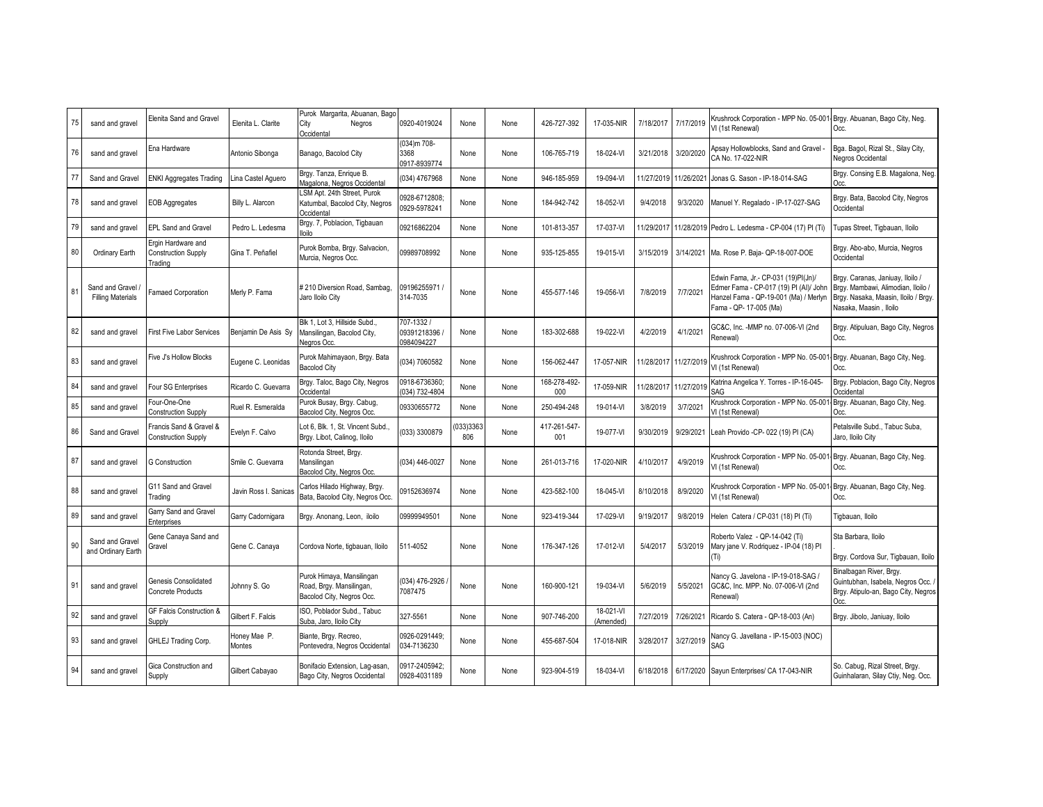| 75 | sand and gravel                             | Elenita Sand and Gravel                                     | Elenita L. Clarite     | Purok Margarita, Abuanan, Bago<br>City<br>Negros<br>Occidental                     | 0920-4019024                            | None            | None | 426-727-392         | 17-035-NIR             | 7/18/2017  | 7/17/2019  | Krushrock Corporation - MPP No. 05-001<br>VI (1st Renewal)                                                                                       | Brgy. Abuanan, Bago City, Neg.<br>Occ.                                                                                                   |
|----|---------------------------------------------|-------------------------------------------------------------|------------------------|------------------------------------------------------------------------------------|-----------------------------------------|-----------------|------|---------------------|------------------------|------------|------------|--------------------------------------------------------------------------------------------------------------------------------------------------|------------------------------------------------------------------------------------------------------------------------------------------|
| 76 | sand and gravel                             | Ena Hardware                                                | Antonio Sibonga        | Banago, Bacolod City                                                               | 034)m 708-<br>3368<br>0917-8939774      | None            | None | 106-765-719         | 18-024-VI              | 3/21/2018  | 3/20/2020  | Apsay Hollowblocks, Sand and Gravel -<br>CA No. 17-022-NIR                                                                                       | Bga. Bagol, Rizal St., Silay City,<br>Negros Occidental                                                                                  |
| 77 | Sand and Gravel                             | <b>ENKI Aggregates Trading</b>                              | ina Castel Aguero      | Brgy. Tanza, Enrique B.<br>Magalona, Negros Occidental                             | (034) 4767968                           | None            | None | 946-185-959         | 19-094-VI              | 11/27/2019 | 11/26/2021 | Jonas G. Sason - IP-18-014-SAG                                                                                                                   | Brgy. Consing E.B. Magalona, Neg.<br>Occ.                                                                                                |
| 78 | sand and gravel                             | <b>EOB Aggregates</b>                                       | Billy L. Alarcon       | LSM Apt. 24th Street, Purok<br>Katumbal, Bacolod City, Negros<br>Occidental        | 0928-6712808;<br>0929-5978241           | None            | None | 184-942-742         | 18-052-VI              | 9/4/2018   | 9/3/2020   | Manuel Y. Regalado - IP-17-027-SAG                                                                                                               | Brgy. Bata, Bacolod City, Negros<br>Occidental                                                                                           |
| 79 | sand and gravel                             | <b>EPL Sand and Gravel</b>                                  | Pedro L. Ledesma       | Brgy. 7, Poblacion, Tigbauan<br>lloilo                                             | 09216862204                             | None            | None | 101-813-357         | 17-037-VI              | 11/29/2017 | 11/28/2019 | Pedro L. Ledesma - CP-004 (17) PI (Ti)                                                                                                           | Tupas Street, Tigbauan, Iloilo                                                                                                           |
| 80 | Ordinary Earth                              | Ergin Hardware and<br><b>Construction Supply</b><br>Trading | Gina T. Peñafiel       | Purok Bomba, Brgy. Salvacion,<br>Murcia, Negros Occ.                               | 09989708992                             | None            | None | 935-125-855         | 19-015-VI              | 3/15/2019  | 3/14/2021  | Ma. Rose P. Baja- QP-18-007-DOE                                                                                                                  | Brgy. Abo-abo, Murcia, Negros<br>Occidental                                                                                              |
| 81 | Sand and Gravel<br><b>Filling Materials</b> | Famaed Corporation                                          | Merly P. Fama          | # 210 Diversion Road, Sambag,<br>Jaro Iloilo City                                  | 09196255971<br>314-7035                 | None            | None | 455-577-146         | 19-056-VI              | 7/8/2019   | 7/7/2021   | Edwin Fama, Jr.- CP-031 (19)PI(Jn)/<br>Edmer Fama - CP-017 (19) PI (AI)/ John<br>Hanzel Fama - QP-19-001 (Ma) / Merlyn<br>Fama - QP- 17-005 (Ma) | Brgy. Caranas, Janiuay, Iloilo /<br>Brgy. Mambawi, Alimodian, Iloilo /<br>Brgy. Nasaka, Maasin, Iloilo / Brgy.<br>Nasaka, Maasin, Iloilo |
| 82 | sand and gravel                             | <b>First Five Labor Services</b>                            | Benjamin De Asis Sy    | Blk 1. Lot 3. Hillside Subd<br>Mansilingan, Bacolod City,<br>Negros Occ.           | 707-1332 /<br>09391218396<br>0984094227 | None            | None | 183-302-688         | 19-022-VI              | 4/2/2019   | 4/1/2021   | GC&C, Inc. - MMP no. 07-006-VI (2nd<br>Renewal)                                                                                                  | Brgy. Atipuluan, Bago City, Negros<br>Occ.                                                                                               |
| 83 | sand and gravel                             | Five J's Hollow Blocks                                      | Eugene C. Leonidas     | Purok Mahimayaon, Brgy. Bata<br><b>Bacolod City</b>                                | 034) 7060582                            | None            | None | 156-062-447         | 17-057-NIR             | 1/28/2017  | 11/27/2019 | Krushrock Corporation - MPP No. 05-00<br>VI (1st Renewal)                                                                                        | Brgy. Abuanan, Bago City, Neg.<br>Occ.                                                                                                   |
| 84 | sand and gravel                             | Four SG Enterprises                                         | Ricardo C. Guevarra    | Brgy. Taloc, Bago City, Negros<br>Occidental                                       | 0918-6736360;<br>034) 732-4804          | None            | None | 168-278-492-<br>000 | 17-059-NIR             | 1/28/2017  | 11/27/2019 | Katrina Angelica Y. Torres - IP-16-045-<br>SAG                                                                                                   | Brgy. Poblacion, Bago City, Negros<br>Occidental                                                                                         |
| 85 | sand and gravel                             | our-One-One <sup>-</sup><br>Construction Supply             | Ruel R. Esmeralda      | Purok Busay, Brgy. Cabug,<br>Bacolod City, Negros Occ.                             | 09330655772                             | None            | None | 250-494-248         | 19-014-VI              | 3/8/2019   | 3/7/2021   | Krushrock Corporation - MPP No. 05-00<br>VI (1st Renewal)                                                                                        | Brgy. Abuanan, Bago City, Neg.<br>Occ.                                                                                                   |
| 86 | Sand and Gravel                             | Francis Sand & Gravel &<br><b>Construction Supply</b>       | Evelyn F. Calvo        | Lot 6, Blk. 1, St. Vincent Subd.,<br>Brgy. Libot, Calinog, Iloilo                  | (033) 3300879                           | 033)3363<br>806 | None | 417-261-547<br>001  | 19-077-VI              | 9/30/2019  | 9/29/2021  | Leah Provido -CP- 022 (19) PI (CA)                                                                                                               | Petalsville Subd., Tabuc Suba,<br>Jaro, Iloilo City                                                                                      |
| 87 | sand and gravel                             | <b>3 Construction</b>                                       | Smile C. Guevarra      | Rotonda Street, Brgy.<br>Mansilingan<br>Bacolod City, Negros Occ.                  | (034) 446-0027                          | None            | None | 261-013-716         | 17-020-NIR             | 4/10/2017  | 4/9/2019   | Krushrock Corporation - MPP No. 05-001<br>VI (1st Renewal)                                                                                       | Brgy. Abuanan, Bago City, Neg.<br>Occ.                                                                                                   |
| 88 | sand and gravel                             | G11 Sand and Gravel<br>Trading                              | Javin Ross I, Sanicas  | Carlos Hilado Highway, Brgy.<br>Bata, Bacolod City, Negros Occ                     | 09152636974                             | None            | None | 423-582-100         | 18-045-VI              | 8/10/2018  | 8/9/2020   | <b>Krushrock Corporation - MPP No. 05-001</b><br>VI (1st Renewal)                                                                                | Brgy. Abuanan, Bago City, Neg.<br>Occ.                                                                                                   |
| 89 | sand and gravel                             | Garry Sand and Gravel<br>Enterprises                        | Garry Cadornigara      | Brgy. Anonang, Leon, iloilo                                                        | 09999949501                             | None            | None | 923-419-344         | 17-029-VI              | 9/19/2017  | 9/8/2019   | Helen Catera / CP-031 (18) PI (Ti)                                                                                                               | Tigbauan, Iloilo                                                                                                                         |
| 90 | Sand and Gravel<br>and Ordinary Earth       | Gene Canaya Sand and<br><b>Gravel</b>                       | Gene C. Canaya         | Cordova Norte, tigbauan, Iloilo                                                    | 511-4052                                | None            | None | 176-347-126         | 17-012-VI              | 5/4/2017   | 5/3/2019   | Roberto Valez - QP-14-042 (Ti)<br>Mary jane V. Rodriquez - IP-04 (18) PI<br>(Ti)                                                                 | Sta Barbara, Iloilo<br>Brgy. Cordova Sur, Tigbauan, Iloilo                                                                               |
| 91 | sand and gravel                             | Genesis Consolidated<br><b>Concrete Products</b>            | Johnny S. Go           | Purok Himaya, Mansilingan<br>Road, Brgy. Mansilingan,<br>Bacolod City, Negros Occ. | (034) 476-2926<br>7087475               | None            | None | 160-900-121         | 19-034-VI              | 5/6/2019   | 5/5/2021   | Vancy G. Javelona - IP-19-018-SAG /<br>GC&C, Inc. MPP. No. 07-006-VI (2nd<br>Renewal)                                                            | Binalbagan River, Brgy.<br>Guintubhan, Isabela, Negros Occ.<br>Brgy. Atipulo-an, Bago City, Negros<br>Occ.                               |
| 92 | sand and gravel                             | GF Falcis Construction &<br><b>Supply</b>                   | Gilbert F. Falcis      | ISO, Poblador Subd., Tabuc<br>Suba, Jaro, Iloilo City                              | 327-5561                                | None            | None | 907-746-200         | 18-021-VI<br>(Amended) | 7/27/2019  | 7/26/2021  | Ricardo S. Catera - QP-18-003 (An)                                                                                                               | Brgy. Jibolo, Janiuay, Iloilo                                                                                                            |
| 93 | sand and gravel                             | GHLEJ Trading Corp.                                         | Honey Mae P.<br>Montes | Biante, Brgy. Recreo,<br>Pontevedra, Negros Occidental                             | 0926-0291449:<br>034-7136230            | None            | None | 455-687-504         | 17-018-NIR             | 3/28/2017  | 3/27/2019  | Vancy G. Javellana - IP-15-003 (NOC)<br>SAG                                                                                                      |                                                                                                                                          |
| 94 | sand and gravel                             | Gica Construction and<br>Supply                             | Gilbert Cabayao        | Bonifacio Extension, Laq-asan.<br>Bago City, Negros Occidental                     | 0917-2405942;<br>0928-4031189           | None            | None | 923-904-519         | 18-034-VI              | 6/18/2018  |            | 6/17/2020 Sayun Enterprises/ CA 17-043-NIR                                                                                                       | So. Cabug, Rizal Street, Brgy.<br>Guinhalaran, Silay Ctiy, Neg. Occ.                                                                     |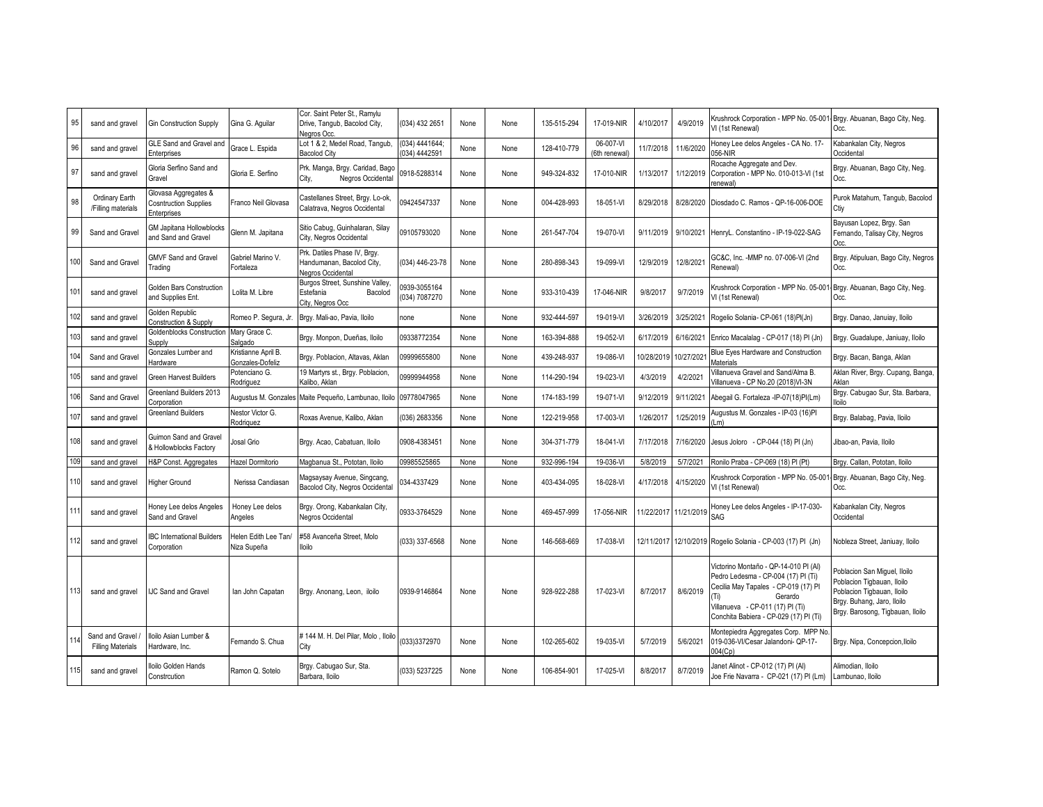| 95  | sand and gravel                             | <b>Gin Construction Supply</b>                                             | Gina G. Aquilar                         | Cor. Saint Peter St., Ramylu<br>Drive, Tangub, Bacolod City,<br>Nearos Occ     | (034) 432 2651                 | None | None | 135-515-294 | 17-019-NIR                | 4/10/2017  | 4/9/2019              | Krushrock Corporation - MPP No. 05-00<br>VI (1st Renewal)                                                                                                                                                            | Brgy. Abuanan, Bago City, Neg.<br>Occ.                                                                                                                     |
|-----|---------------------------------------------|----------------------------------------------------------------------------|-----------------------------------------|--------------------------------------------------------------------------------|--------------------------------|------|------|-------------|---------------------------|------------|-----------------------|----------------------------------------------------------------------------------------------------------------------------------------------------------------------------------------------------------------------|------------------------------------------------------------------------------------------------------------------------------------------------------------|
| 96  | sand and gravel                             | <b>GLE Sand and Gravel and</b><br>Enterprises                              | Grace L. Espida                         | Lot 1 & 2, Medel Road, Tangub,<br><b>Bacolod City</b>                          | (034) 4441644;<br>034) 4442591 | None | None | 128-410-779 | 06-007-VI<br>(6th renewal | 11/7/2018  | 11/6/2020             | Honey Lee delos Angeles - CA No. 17-<br>56-NIR                                                                                                                                                                       | Kabankalan City, Negros<br>Occidental                                                                                                                      |
| 97  | sand and gravel                             | Gloria Serfino Sand and<br>Gravel                                          | Gloria E. Serfino                       | Prk. Manga, Brgy. Caridad, Bago<br>Negros Occidental<br>City.                  | 0918-5288314                   | None | None | 949-324-832 | 17-010-NIR                | 1/13/2017  | 1/12/2019             | Rocache Aggregate and Dev.<br>Corporation - MPP No. 010-013-VI (1st<br>enewal)                                                                                                                                       | Brgy. Abuanan, Bago City, Neg.<br>Occ.                                                                                                                     |
| 98  | Ordinary Earth<br>/Filling materials        | Glovasa Aggregates &<br><b>Cosntruction Supplies</b><br><b>Enterprises</b> | Franco Neil Glovasa                     | Castellanes Street, Brgy. Lo-ok,<br>Calatrava, Negros Occidental               | 09424547337                    | None | None | 004-428-993 | 18-051-VI                 | 8/29/2018  | 8/28/2020             | Diosdado C. Ramos - QP-16-006-DOE                                                                                                                                                                                    | Purok Matahum, Tangub, Bacolod<br>Ctiy                                                                                                                     |
| 99  | Sand and Gravel                             | GM Japitana Hollowblocks<br>and Sand and Gravel                            | Glenn M. Japitana                       | Sitio Cabuq, Guinhalaran, Silay<br>City, Negros Occidental                     | 09105793020                    | None | None | 261-547-704 | 19-070-VI                 | 9/11/2019  | 9/10/2021             | HenryL. Constantino - IP-19-022-SAG                                                                                                                                                                                  | Bayusan Lopez, Brgy. San<br>Fernando, Talisay City, Negros<br>Occ.                                                                                         |
| 100 | Sand and Gravel                             | <b>GMVF Sand and Gravel</b><br>Trading                                     | Gabriel Marino V.<br>Fortaleza          | Prk. Datiles Phase IV, Brgy.<br>Handumanan, Bacolod City,<br>Negros Occidental | (034) 446-23-78                | None | None | 280-898-343 | 19-099-VI                 | 12/9/2019  | 12/8/2021             | GC&C, Inc. -MMP no. 07-006-VI (2nd<br>Renewal)                                                                                                                                                                       | Brgy. Atipuluan, Bago City, Negros<br>Occ.                                                                                                                 |
| 101 | sand and gravel                             | <b>Golden Bars Construction</b><br>and Supplies Ent.                       | Lolita M. Libre                         | Burgos Street, Sunshine Valley,<br>Estefania<br>Bacolod<br>City, Nearos Occ    | 0939-3055164<br>034) 7087270   | None | None | 933-310-439 | 17-046-NIR                | 9/8/2017   | 9/7/2019              | Crushrock Corporation - MPP No. 05-00<br>VI (1st Renewal)                                                                                                                                                            | Brgy. Abuanan, Bago City, Neg.<br>Occ.                                                                                                                     |
| 102 | sand and gravel                             | Golden Republic<br>Construction & Supply                                   | Romeo P. Segura, Jr                     | Brgy. Mali-ao, Pavia, Iloilo                                                   | none                           | None | None | 932-444-597 | 19-019-VI                 | 3/26/2019  | 3/25/2021             | Rogelio Solania- CP-061 (18)Pl(Jn)                                                                                                                                                                                   | Brgy. Danao, Januiay, Iloilo                                                                                                                               |
| 103 | sand and gravel                             | Goldenblocks Construction<br><b>Supply</b>                                 | Mary Grace C.<br>Salgado                | Brgy. Monpon, Dueñas, Iloilo                                                   | 09338772354                    | None | None | 163-394-888 | 19-052-VI                 | 6/17/2019  | 6/16/2021             | Enrico Macalalag - CP-017 (18) PI (Jn)                                                                                                                                                                               | Brgy. Guadalupe, Janiuay, Iloilo                                                                                                                           |
| 104 | Sand and Gravel                             | Gonzales Lumber and<br>Hardware                                            | Kristianne April B.<br>Gonzales-Dofeliz | Brgy. Poblacion, Altavas, Aklan                                                | 09999655800                    | None | None | 439-248-937 | 19-086-VI                 | 10/28/2019 | 10/27/2021            | Blue Eyes Hardware and Construction<br><b>Aaterials</b>                                                                                                                                                              | Brgy. Bacan, Banga, Aklan                                                                                                                                  |
| 105 | sand and gravel                             | <b>Green Harvest Builders</b>                                              | Potenciano G.<br>Rodriguez              | 19 Martyrs st., Brgy. Poblacion,<br>Kalibo, Aklan                              | 0999944958                     | None | None | 114-290-194 | 19-023-VI                 | 4/3/2019   | 4/2/2021              | /illanueva Gravel and Sand/Alma B.<br>/illanueva - CP No.20 (2018)VI-3N                                                                                                                                              | Aklan River, Brgy. Cupang, Banga<br>Aklan                                                                                                                  |
| 106 | Sand and Grave                              | Greenland Builders 2013<br>Corporation                                     | Augustus M. Gonzales                    | Maite Pequeño, Lambunao, Iloilo                                                | 09778047965                    | None | None | 174-183-199 | 19-071-VI                 | 9/12/2019  | 9/11/2021             | Abegail G. Fortaleza -IP-07(18)PI(Lm)                                                                                                                                                                                | Brgy. Cabugao Sur, Sta. Barbara,<br>loilo                                                                                                                  |
| 107 | sand and gravel                             | <b>Greenland Builders</b>                                                  | <b>Vestor Victor G.</b><br>Rodriguez    | Roxas Avenue, Kalibo, Aklan                                                    | (036) 2683356                  | None | None | 122-219-958 | 17-003-VI                 | 1/26/2017  | 1/25/2019             | Augustus M. Gonzales - IP-03 (16)PI<br>(m                                                                                                                                                                            | Brgy. Balabag, Pavia, Iloilo                                                                                                                               |
| 108 | sand and gravel                             | Guimon Sand and Gravel<br>& Hollowblocks Factory                           | Josal Grio                              | Brgy. Acao, Cabatuan, Iloilo                                                   | 0908-4383451                   | None | None | 304-371-779 | 18-041-VI                 | 7/17/2018  | 7/16/2020             | lesus Joloro - CP-044 (18) PI (Jn)                                                                                                                                                                                   | Jibao-an, Pavia, Iloilo                                                                                                                                    |
| 109 | sand and gravel                             | H&P Const. Aggregates                                                      | lazel Dormitorio                        | Magbanua St., Pototan, Iloilo                                                  | 09985525865                    | None | None | 932-996-194 | 19-036-VI                 | 5/8/2019   | 5/7/2021              | Ronilo Praba - CP-069 (18) PI (Pt)                                                                                                                                                                                   | Brgy. Callan, Pototan, Iloilo                                                                                                                              |
| 110 | sand and gravel                             | Higher Ground                                                              | Nerissa Candiasan                       | Magsaysay Avenue, Singcang,<br>Bacolod City, Negros Occidental                 | 034-4337429                    | None | None | 403-434-095 | 18-028-VI                 | 4/17/2018  | 4/15/2020             | Krushrock Corporation - MPP No. 05-00<br>VI (1st Renewal)                                                                                                                                                            | Brgy. Abuanan, Bago City, Neg.<br>Occ.                                                                                                                     |
| 111 | sand and gravel                             | Honey Lee delos Angeles<br>Sand and Gravel                                 | Honey Lee delos<br>Anaeles              | Brgy. Orong, Kabankalan City,<br>Negros Occidental                             | 0933-3764529                   | None | None | 469-457-999 | 17-056-NIR                | 1/22/2017  | 11/21/2019            | loney Lee delos Angeles - IP-17-030-<br>SAG                                                                                                                                                                          | Kabankalan City, Negros<br>Occidental                                                                                                                      |
| 112 | sand and gravel                             | <b>BC</b> International Builders<br>Corporation                            | lelen Edith Lee Tan/<br>Niza Supeña     | #58 Avanceña Street. Molo<br>lloilo                                            | (033) 337-6568                 | None | None | 146-568-669 | 17-038-VI                 |            | 12/11/2017 12/10/2019 | Rogelio Solania - CP-003 (17) PI (Jn)                                                                                                                                                                                | Vobleza Street, Janiuay, Iloilo                                                                                                                            |
| 113 | sand and gravel                             | <b>JC Sand and Gravel</b>                                                  | lan John Capatan                        | Brgy. Anonang, Leon, iloilo                                                    | 0939-9146864                   | None | None | 928-922-288 | 17-023-VI                 | 8/7/2017   | 8/6/2019              | Victorino Montaño - QP-14-010 PI (AI)<br>Pedro Ledesma - CP-004 (17) PI (Ti)<br>Cecilia May Tapales - CP-019 (17) PI<br>Ti)<br>Gerardo<br>/illanueva - CP-011 (17) PI (Ti)<br>Conchita Babiera - CP-029 (17) PI (Ti) | Poblacion San Miguel, Iloilo<br>Poblacion Tigbauan, Iloilo<br>Poblacion Tigbauan, Iloilo<br>Brgy. Buhang, Jaro, Iloilo<br>Brgy. Barosong, Tigbauan, Iloilo |
| 114 | Sand and Gravel<br><b>Filling Materials</b> | loilo Asian Lumber &<br>Hardware, Inc.                                     | Fernando S. Chua                        | # 144 M. H. Del Pilar, Molo, Iloilo<br>City                                    | (033)3372970                   | None | None | 102-265-602 | 19-035-VI                 | 5/7/2019   | 5/6/2021              | Montepiedra Aggregates Corp. MPP No<br>19-036-VI/Cesar Jalandoni- QP-17-<br>04(Cp)                                                                                                                                   | Brgy. Nipa, Concepcion, Iloilo                                                                                                                             |
| 115 | sand and gravel                             | loilo Golden Hands<br>Constrcution                                         | Ramon Q. Sotelo                         | Brgy. Cabugao Sur, Sta.<br>Barbara, Iloilo                                     | (033) 5237225                  | None | None | 106-854-901 | 17-025-VI                 | 8/8/2017   | 8/7/2019              | Janet Alinot - CP-012 (17) PI (Al)<br>Joe Frie Navarra - CP-021 (17) PI (Lm)                                                                                                                                         | Alimodian, Iloilo<br>Lambunao, Iloilo                                                                                                                      |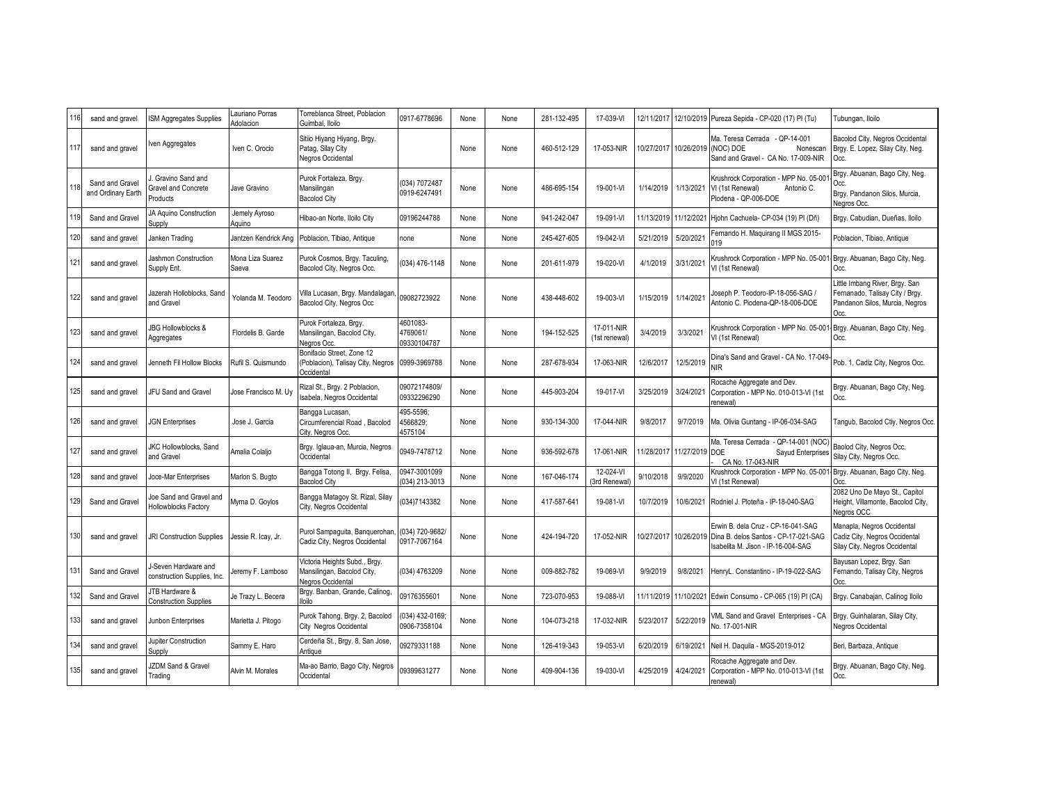| 116 | sand and gravel                       | <b>SM Aggregates Supplies</b>                              | Lauriano Porras<br>Adolacion | Torreblanca Street, Poblacion<br>Guimbal, Iloilo                                 | 0917-6778696                        | None | None | 281-132-495 | 17-039-VI                   | 12/11/2017 |                | 12/10/2019 Pureza Sepida - CP-020 (17) PI (Tu)                                                                  | Tubungan, Iloilo                                                                                            |
|-----|---------------------------------------|------------------------------------------------------------|------------------------------|----------------------------------------------------------------------------------|-------------------------------------|------|------|-------------|-----------------------------|------------|----------------|-----------------------------------------------------------------------------------------------------------------|-------------------------------------------------------------------------------------------------------------|
| 117 | sand and gravel                       | ven Aggregates                                             | Iven C. Orocio               | Sitiio Hiyang Hiyang, Brgy.<br>Patag, Silay City<br>Negros Occidental            |                                     | None | None | 460-512-129 | 17-053-NIR                  | 10/27/2017 | 10/26/2019     | Ma. Teresa Cerrada - QP-14-001<br>NOC) DOE<br>Nonescan<br>Sand and Gravel - CA No. 17-009-NIR                   | Bacolod City, Negros Occidental<br>Brgy. E. Lopez, Silay City, Neg.<br>Occ.                                 |
| 118 | Sand and Gravel<br>and Ordinary Earth | Gravino Sand and<br><b>Gravel and Concrete</b><br>Products | Jave Gravino                 | Purok Fortaleza, Brgy.<br>Mansilingan<br><b>Bacolod City</b>                     | (034) 7072487<br>0919-6247491       | None | None | 486-695-154 | 19-001-VI                   | 1/14/2019  | 1/13/2021      | Krushrock Corporation - MPP No. 05-00<br>VI (1st Renewal)<br>Antonio C.<br>Piodena - QP-006-DOE                 | Brgy. Abuanan, Bago City, Neg.<br>Occ.<br>Brgy. Pandanon Silos, Murcia,<br>Nearos Occ.                      |
| 119 | Sand and Gravel                       | JA Aquino Construction<br>Supply                           | Jemely Ayroso<br>Aquino      | Hibao-an Norte, Iloilo City                                                      | 09196244788                         | None | None | 941-242-047 | 19-091-VI                   | 11/13/2019 | 11/12/2021     | Hjohn Cachuela- CP-034 (19) PI (Dñ)                                                                             | Brgy. Cabudian, Dueñas, Iloilo                                                                              |
| 120 | sand and gravel                       | Janken Trading                                             | Jantzen Kendrick Ang         | Poblacion, Tibiao, Antique                                                       | none                                | None | None | 245-427-605 | 19-042-VI                   | 5/21/2019  | 5/20/2021      | Fernando H. Maguirang II MGS 2015-<br>19                                                                        | Poblacion, Tibiao, Antique                                                                                  |
| 121 | sand and gravel                       | Jashmon Construction<br>Supply Ent.                        | Mona Liza Suarez<br>Saeva    | Purok Cosmos, Brgy. Taculing,<br>Bacolod City, Negros Occ.                       | 034) 476-1148                       | None | None | 201-611-979 | 19-020-VI                   | 4/1/2019   | 3/31/2021      | Krushrock Corporation - MPP No. 05-00<br>VI (1st Renewal)                                                       | Brgy. Abuanan, Bago City, Neg.<br>Occ.                                                                      |
| 122 | sand and gravel                       | lazerah Holloblocks, Sand<br>and Gravel                    | Yolanda M. Teodoro           | /illa Lucasan, Brgy. Mandalagan,<br>Bacolod City, Negros Occ                     | 09082723922                         | None | None | 438-448-602 | 19-003-VI                   | 1/15/2019  | 1/14/2021      | loseph P. Teodoro-IP-18-056-SAG /<br>Antonio C. Piodena-QP-18-006-DOE                                           | Little Imbang River, Brgy. San<br>Fernanado, Talisay City / Brgy.<br>Pandanon Silos, Murcia, Negros<br>Occ. |
| 123 | sand and gravel                       | <b>JBG Hollowblocks &amp;</b><br>Aggregates                | Flordelis B. Garde           | Purok Fortaleza, Brgy.<br>Mansilingan, Bacolod City,<br>Negros Occ.              | 4601083-<br>4769061/<br>09330104787 | None | None | 194-152-525 | 17-011-NIR<br>(1st renewal) | 3/4/2019   | 3/3/2021       | Krushrock Corporation - MPP No. 05-00<br>VI (1st Renewal)                                                       | Brgy. Abuanan, Bago City, Neg.<br>Occ.                                                                      |
| 124 | sand and gravel                       | Jenneth Fil Hollow Blocks                                  | Rufil S. Quismundo           | Bonifacio Street, Zone 12<br>(Poblacion), Talisay City, Negros<br>Occidental     | 0999-3969788                        | None | None | 287-678-934 | 17-063-NIR                  | 12/6/2017  | 12/5/2019      | Dina's Sand and Gravel - CA No. 17-049<br><b>NIR</b>                                                            | Pob. 1, Cadiz City, Negros Occ.                                                                             |
| 125 | sand and gravel                       | JFU Sand and Gravel                                        | Jose Francisco M. Uy         | Rizal St., Brgy. 2 Poblacion,<br>Isabela, Negros Occidental                      | 09072174809/<br>09332296290         | None | None | 445-903-204 | 19-017-VI                   | 3/25/2019  | 3/24/2021      | Rocache Aggregate and Dev.<br>Corporation - MPP No. 010-013-VI (1st<br>enewal)                                  | Brgy. Abuanan, Bago City, Neg.<br>Occ.                                                                      |
| 126 | sand and gravel                       | <b>JGN Enterprises</b>                                     | Jose J. Garcia               | Bangga Lucasan,<br>Circumferencial Road, Bacolod<br>City, Negros Occ.            | 495-5596;<br>4566829;<br>4575104    | None | None | 930-134-300 | 17-044-NIR                  | 9/8/2017   | 9/7/2019       | Ma. Olivia Guntang - IP-06-034-SAG                                                                              | Tangub, Bacolod Ctiy, Negros Occ.                                                                           |
| 127 | sand and gravel                       | <b>JKC Hollowblocks, Sand</b><br>and Gravel                | Amalia Colaljo               | Brgy. Iglaua-an, Murcia, Negros<br>Occidental                                    | 0949-7478712                        | None | None | 936-592-678 | 17-061-NIR                  | 1/28/2017  | 11/27/2019 DOE | Ma. Teresa Cerrada - QP-14-001 (NOC<br>Sayud Enterprises<br>CA No. 17-043-NIR                                   | Baolod City, Negros Occ.<br>Silay City, Negros Occ.                                                         |
| 128 | sand and gravel                       | loce-Mar Enterprises                                       | Marlon S. Bugto              | Bangga Totong II, Brgy. Felisa,<br><b>Bacolod City</b>                           | 0947-3001099<br>034) 213-3013       | None | None | 167-046-174 | 12-024-VI<br>3rd Renewal    | 9/10/2018  | 9/9/2020       | Krushrock Corporation - MPP No. 05-00<br>VI (1st Renewal)                                                       | Brgy. Abuanan, Bago City, Neg.<br>Occ.                                                                      |
| 129 | Sand and Gravel                       | loe Sand and Gravel and<br><b>Iollowblocks Factory</b>     | Myrna D. Goylos              | Bangga Matagoy St. Rizal, Silay<br>City, Negros Occidental                       | 034)7143382                         | None | None | 417-587-641 | 19-081-VI                   | 10/7/2019  | 10/6/2021      | Rodniel J. Ploteña - IP-18-040-SAG                                                                              | 2082 Uno De Mayo St., Capitol<br>Height, Villamonte, Bacolod City,<br>Negros OCC                            |
| 130 | sand and gravel                       | JRI Construction Supplies                                  | Jessie R. Icay, Jr.          | Purol Sampaguita, Banquerohan<br>Cadiz City, Negros Occidental                   | (034) 720-9682/<br>0917-7067164     | None | None | 424-194-720 | 17-052-NIR                  | 10/27/2017 | 10/26/2019     | Erwin B. dela Cruz - CP-16-041-SAG<br>Dina B. delos Santos - CP-17-021-SAG<br>sabelita M. Jison - IP-16-004-SAG | Manapla, Negros Occidental<br>Cadiz City, Negros Occidental<br>Silay City, Negros Occidental                |
| 131 | Sand and Gravel                       | -Seven Hardware and<br>construction Supplies, Inc.         | Jeremy F. Lamboso            | Victoria Heights Subd., Brgy.<br>Mansilingan, Bacolod City,<br>Negros Occidental | (034) 4763209                       | None | None | 009-882-782 | 19-069-VI                   | 9/9/2019   | 9/8/2021       | HenryL. Constantino - IP-19-022-SAG                                                                             | Bayusan Lopez, Brgy. San<br>Fernando, Talisay City, Negros<br>Occ.                                          |
| 132 | Sand and Gravel                       | JTB Hardware &<br>Construction Supplies                    | Je Trazy L. Becera           | Brgy. Banban, Grande, Calinog,<br>lloilo                                         | 09176355601                         | None | None | 723-070-953 | 19-088-VI                   | 11/11/2019 | 11/10/2021     | Edwin Consumo - CP-065 (19) PI (CA)                                                                             | Brgy. Canabajan, Calinog Iloilo                                                                             |
| 133 | sand and gravel                       | lunbon Enterprises                                         | Marietta J. Pitogo           | Purok Tahong, Brgy. 2, Bacolod<br>City Negros Occidental                         | (034) 432-0169;<br>0906-7358104     | None | None | 104-073-218 | 17-032-NIR                  | 5/23/2017  | 5/22/2019      | /ML Sand and Gravel Enterprises - CA<br>Vo. 17-001-NIR                                                          | Brgy. Guinhalaran, Silay City,<br><b>Vegros Occidental</b>                                                  |
| 134 | sand and gravel                       | Jupiter Construction<br><b>Supply</b>                      | Sammy E. Haro                | Cerdeña St., Brgy. 8, San Jose,<br>Antique                                       | 09279331188                         | None | None | 126-419-343 | 19-053-VI                   | 6/20/2019  | 6/19/2021      | Neil H. Daquila - MGS-2019-012                                                                                  | Beri, Barbaza, Antique                                                                                      |
| 135 | sand and gravel                       | <b>IZDM Sand &amp; Gravel</b><br><b>Trading</b>            | Alvin M. Morales             | Ma-ao Barrio, Bago City, Negros<br>Occidental                                    | 09399631277                         | None | None | 409-904-136 | 19-030-VI                   | 4/25/2019  | 4/24/2021      | Rocache Aggregate and Dev.<br>Corporation - MPP No. 010-013-VI (1st<br>enewal)                                  | Brgy. Abuanan, Bago City, Neg.<br>Occ.                                                                      |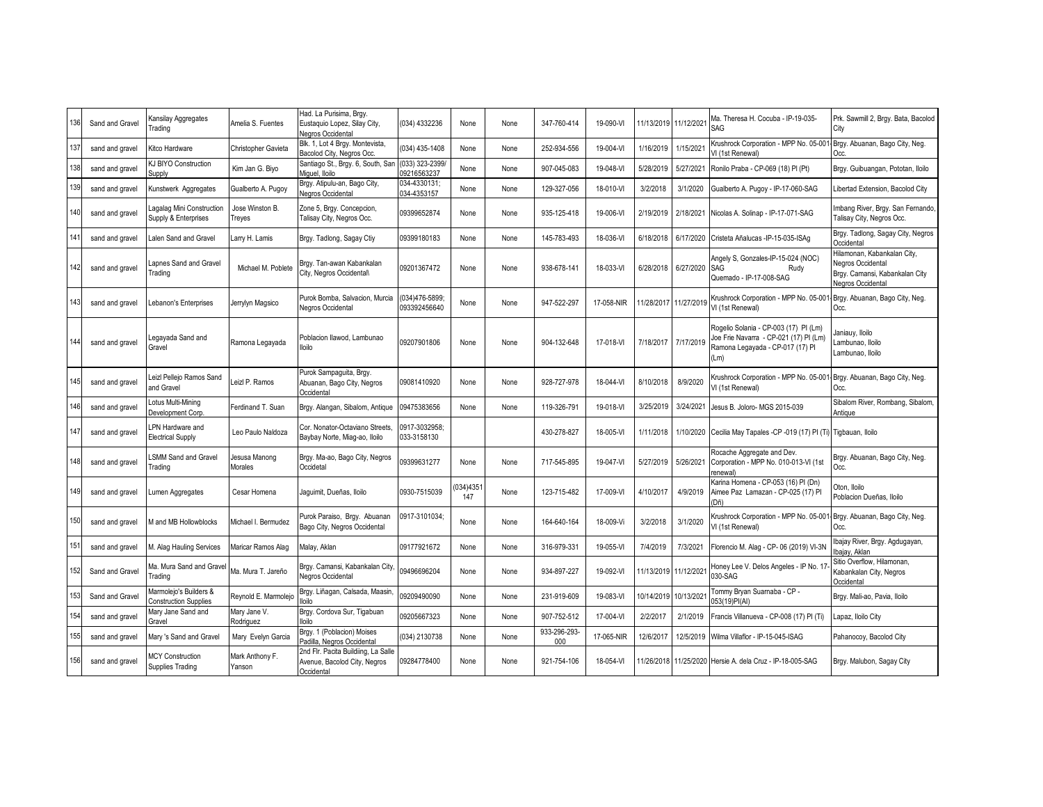| 136 | Sand and Gravel | Kansilay Aggregates<br>Trading                   | Amelia S. Fuentes               | Had. La Purisima, Brgy.<br>Eustaquio Lopez, Silay City,<br>Negros Occidental      | (034) 4332236                  | None            | None | 347-760-414         | 19-090-VI  |            | 11/13/2019 11/12/2021 | Ma. Theresa H. Cocuba - IP-19-035-<br>SAG                                                                                   | Prk. Sawmill 2, Brgy. Bata, Bacolod<br>City                                                             |
|-----|-----------------|--------------------------------------------------|---------------------------------|-----------------------------------------------------------------------------------|--------------------------------|-----------------|------|---------------------|------------|------------|-----------------------|-----------------------------------------------------------------------------------------------------------------------------|---------------------------------------------------------------------------------------------------------|
| 137 | sand and gravel | Kitco Hardware                                   | Christopher Gavieta             | Blk. 1, Lot 4 Brgy. Montevista,<br>Bacolod City, Negros Occ.                      | (034) 435-1408                 | None            | None | 252-934-556         | 19-004-VI  | 1/16/2019  | 1/15/202              | Krushrock Corporation - MPP No. 05-001<br>VI (1st Renewal)                                                                  | Brgy. Abuanan, Bago City, Neg.<br>Occ.                                                                  |
| 138 | sand and gravel | KJ BIYO Construction<br><b>Supply</b>            | Kim Jan G. Biyo                 | Santiago St., Brgy. 6, South, San<br>Miguel, Iloilo                               | (033) 323-2399/<br>09216563237 | None            | None | 907-045-083         | 19-048-VI  | 5/28/2019  | 5/27/2021             | Ronilo Praba - CP-069 (18) PI (Pt)                                                                                          | Brgy. Guibuangan, Pototan, Iloilo                                                                       |
| 139 | sand and gravel | Kunstwerk Aggregates                             | Gualberto A. Pugoy              | Brgy. Atipulu-an, Bago City,<br>Negros Occidental                                 | 034-4330131:<br>034-4353157    | None            | None | 129-327-056         | 18-010-VI  | 3/2/2018   | 3/1/2020              | Gualberto A. Pugoy - IP-17-060-SAG                                                                                          | ibertad Extension, Bacolod City                                                                         |
| 140 | sand and gravel | agalag Mini Construction<br>Supply & Enterprises | Jose Winston B.<br>Treyes       | Zone 5, Brgy. Concepcion,<br>Talisay City, Negros Occ.                            | 09399652874                    | None            | None | 935-125-418         | 19-006-VI  | 2/19/2019  | 2/18/2021             | Nicolas A. Solinap - IP-17-071-SAG                                                                                          | Imbang River, Brgy. San Fernando,<br>Talisay City, Negros Occ.                                          |
| 141 | sand and gravel | alen Sand and Gravel                             | Larry H. Lamis                  | Brgy. Tadlong, Sagay Ctiy                                                         | 09399180183                    | None            | None | 145-783-493         | 18-036-VI  | 6/18/2018  | 6/17/2020             | Cristeta Añalucas - IP-15-035-ISAg                                                                                          | Brgy. Tadlong, Sagay City, Negros<br>Occidental                                                         |
| 142 | sand and gravel | apnes Sand and Gravel<br><b>Frading</b>          | Michael M. Poblete              | Brgy. Tan-awan Kabankalan<br>City, Negros Occidental\                             | 09201367472                    | None            | None | 938-678-141         | 18-033-VI  | 6/28/2018  | 6/27/2020             | Angely S, Gonzales-IP-15-024 (NOC)<br>SAG<br>Rudy<br>Quemado - IP-17-008-SAG                                                | Hilamonan, Kabankalan City,<br>Negros Occidental<br>Brgy. Camansi, Kabankalan City<br>Negros Occidental |
| 143 | sand and gravel | ebanon's Enterprises                             | Jerrylyn Magsico                | Purok Bomba, Salvacion, Murcia<br>Negros Occidental                               | (034)476-5899:<br>093392456640 | None            | None | 947-522-297         | 17-058-NIR |            | 11/28/2017 11/27/2019 | Krushrock Corporation - MPP No. 05-001<br>VI (1st Renewal)                                                                  | Brgy. Abuanan, Bago City, Neg.<br>Occ.                                                                  |
| 144 | sand and gravel | .egayada Sand and<br>Gravel                      | Ramona Legayada                 | Poblacion Ilawod, Lambunao<br>lloilo                                              | 09207901806                    | None            | None | 904-132-648         | 17-018-VI  | 7/18/2017  | 7/17/2019             | Rogelio Solania - CP-003 (17) PI (Lm)<br>Joe Frie Navarra - CP-021 (17) PI (Lm)<br>Ramona Legayada - CP-017 (17) PI<br>(Lm) | Janiauv, Iloilo<br>Lambunao, Iloilo<br>Lambunao, Iloilo                                                 |
| 145 | sand and gravel | eizl Pellejo Ramos Sand<br>and Gravel            | eizl P. Ramos                   | Purok Sampaguita, Brgy.<br>Abuanan, Bago City, Negros<br>Occidental               | 09081410920                    | None            | None | 928-727-978         | 18-044-VI  | 8/10/2018  | 8/9/2020              | Krushrock Corporation - MPP No. 05-00<br>VI (1st Renewal)                                                                   | Brgy. Abuanan, Bago City, Neg.<br>Occ.                                                                  |
| 146 | sand and gravel | Lotus Multi-Mining<br>Development Corp.          | Ferdinand T. Suan               | Brgy. Alangan, Sibalom, Antique                                                   | 09475383656                    | None            | None | 119-326-791         | 19-018-VI  | 3/25/2019  | 3/24/2021             | Jesus B. Joloro- MGS 2015-039                                                                                               | Sibalom River, Rombang, Sibalom,<br>Antiaue                                                             |
| 147 | sand and gravel | PN Hardware and<br><b>Electrical Supply</b>      | Leo Paulo Naldoza               | Cor. Nonator-Octaviano Streets,<br>Baybay Norte, Miag-ao, Iloilo                  | 0917-3032958;<br>033-3158130   |                 |      | 430-278-827         | 18-005-VI  | 1/11/2018  |                       | 1/10/2020 Cecilia May Tapales -CP -019 (17) PI (Ti) Tigbauan, Iloilo                                                        |                                                                                                         |
| 148 | sand and gravel | <b>SMM Sand and Gravel</b><br>Trading            | Jesusa Manong<br><b>Morales</b> | Brgy. Ma-ao, Bago City, Negros<br>Occidetal                                       | 09399631277                    | None            | None | 717-545-895         | 19-047-VI  | 5/27/2019  | 5/26/2021             | Rocache Aggregate and Dev.<br>Corporation - MPP No. 010-013-VI (1st<br>enewal)                                              | Brgy. Abuanan, Bago City, Neg.<br>Occ.                                                                  |
| 149 | sand and gravel | umen Aggregates                                  | Cesar Homena                    | Jaguimit, Dueñas, Iloilo                                                          | 0930-7515039                   | 034)4351<br>147 | None | 123-715-482         | 17-009-VI  | 4/10/201   | 4/9/2019              | Karina Homena - CP-053 (16) PI (Dn)<br>Aimee Paz Lamazan - CP-025 (17) Pl<br>(Dñ                                            | Oton, Iloilo<br>Poblacion Dueñas, Iloilo                                                                |
| 150 | sand and gravel | M and MB Hollowblocks                            | Michael I. Bermudez             | Purok Paraiso, Brgy. Abuanan<br>Bago City, Negros Occidental                      | 0917-3101034;                  | None            | None | 164-640-164         | 18-009-Vi  | 3/2/2018   | 3/1/2020              | Krushrock Corporation - MPP No. 05-00<br>VI (1st Renewal)                                                                   | Brgy. Abuanan, Bago City, Neg.<br>Occ.                                                                  |
| 151 | sand and gravel | M. Alag Hauling Services                         | Maricar Ramos Alag              | Malay, Aklan                                                                      | 09177921672                    | None            | None | 316-979-331         | 19-055-VI  | 7/4/2019   | 7/3/2021              | Florencio M. Alag - CP- 06 (2019) VI-3N                                                                                     | Ibajay River, Brgy. Agdugayan,<br>Ibaiav, Aklan                                                         |
| 152 | Sand and Gravel | Ma. Mura Sand and Gravel<br><b>Trading</b>       | Ma. Mura T. Jareño              | Brgy. Camansi, Kabankalan City,<br>Negros Occidental                              | 09496696204                    | None            | None | 934-897-227         | 19-092-VI  |            | 11/13/2019 11/12/2021 | Honey Lee V. Delos Angeles - IP No. 17<br>030-SAG                                                                           | Sitio Overflow, Hilamonan,<br>Kabankalan City, Negros<br>Occidental                                     |
| 153 | Sand and Gravel | Marmolejo's Builders &<br>Construction Supplies  | Reynold E. Marmolejo            | Brgy. Liñagan, Calsada, Maasin,<br>loilo                                          | 09209490090                    | None            | None | 231-919-609         | 19-083-VI  | 10/14/2019 | 10/13/202             | Fommy Bryan Suarnaba - CP -<br>053(19)PI(AI)                                                                                | Brgy. Mali-ao, Pavia, Iloilo                                                                            |
| 154 | sand and gravel | Mary Jane Sand and<br>Gravel                     | Mary Jane V.<br>Rodriguez       | Brgy. Cordova Sur, Tigabuan<br>lloilo                                             | 09205667323                    | None            | None | 907-752-512         | 17-004-VI  | 2/2/2017   | 2/1/2019              | Francis Villanueva - CP-008 (17) PI (Ti)                                                                                    | Lapaz, Iloilo City                                                                                      |
| 155 | sand and gravel | Mary 's Sand and Gravel                          | Mary Evelyn Garcia              | Brgy. 1 (Poblacion) Moises<br>Padilla, Negros Occidental                          | (034) 2130738                  | None            | None | 933-296-293-<br>000 | 17-065-NIR | 12/6/2017  | 12/5/2019             | Wilma Villaflor - IP-15-045-ISAG                                                                                            | Pahanocoy, Bacolod City                                                                                 |
| 156 | sand and gravel | <b>MCY Construction</b><br>Supplies Trading      | Mark Anthony F.<br>Yanson       | 2nd Flr. Pacita Buildiing, La Salle<br>Avenue, Bacolod City, Negros<br>Occidental | 09284778400                    | None            | None | 921-754-106         | 18-054-VI  | 11/26/2018 | 11/25/2020            | Hersie A. dela Cruz - IP-18-005-SAG                                                                                         | Brgy. Malubon, Sagay City                                                                               |
|     |                 |                                                  |                                 |                                                                                   |                                |                 |      |                     |            |            |                       |                                                                                                                             |                                                                                                         |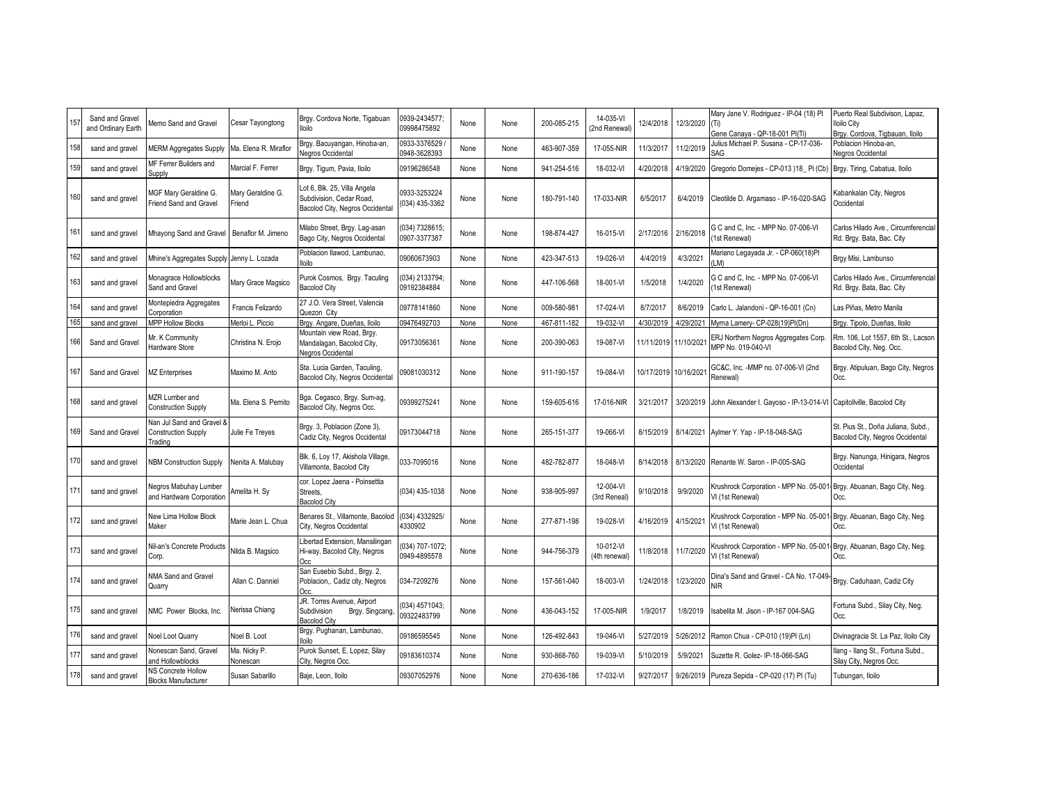| 157 | Sand and Gravel<br>and Ordinary Earth | Memo Sand and Gravel                                               | Cesar Tayongtong            | Brgy. Cordova Norte, Tigabuan<br>lloilo                                                     | 0939-2434577<br>09998475892    | None | None | 200-085-215 | 14-035-VI<br>2nd Renewal   | 12/4/2018 | 12/3/2020             | Mary Jane V. Rodriguez - IP-04 (18) PI<br>Gene Canava - QP-18-001 PI(Ti)                   | Puerto Real Subdivison, Lapaz,<br>lloilo City<br>Brgy. Cordova, Tigbauan, Iloilo |
|-----|---------------------------------------|--------------------------------------------------------------------|-----------------------------|---------------------------------------------------------------------------------------------|--------------------------------|------|------|-------------|----------------------------|-----------|-----------------------|--------------------------------------------------------------------------------------------|----------------------------------------------------------------------------------|
| 158 | sand and gravel                       | <b>MERM Aggregates Supply</b>                                      | Ma. Elena R. Miraflor       | Brgy. Bacuyangan, Hinoba-an,<br>Negros Occidental                                           | 0933-3376529<br>0948-3628393   | None | None | 463-907-359 | 17-055-NIR                 | 11/3/2017 | 11/2/2019             | Julius Michael P. Susana - CP-17-036-<br>SAG                                               | Poblacion Hinoba-an,<br>Negros Occidental                                        |
| 159 | sand and gravel                       | MF Ferrer Builders and<br>Supply                                   | Marcial F. Ferrer           | Brgy. Tigum, Pavia, Iloilo                                                                  | 09196286548                    | None | None | 941-254-516 | 18-032-VI                  | 4/20/2018 | 4/19/2020             | Gregorio Domejes - CP-013 )18_Pi (Cb)                                                      | Brgy. Tiring, Cabatua, Iloilo                                                    |
| 160 | sand and gravel                       | MGF Mary Geraldine G.<br>Friend Sand and Gravel                    | Mary Geraldine G.<br>Friend | Lot 6, Blk. 25, Villa Angela<br>Subdivision, Cedar Road,<br>Bacolod City, Negros Occidental | 0933-3253224<br>(034) 435-3362 | None | None | 180-791-140 | 17-033-NIR                 | 6/5/2017  | 6/4/2019              | Cleotilde D. Argamaso - IP-16-020-SAG                                                      | Kabankalan City, Negros<br>Occidental                                            |
| 161 | sand and gravel                       | Mhayong Sand and Gravel                                            | Benaflor M. Jimeno          | Milabo Street, Brgy. Lag-asan<br>Bago City, Negros Occidental                               | (034) 7328615;<br>0907-3377387 | None | None | 198-874-427 | 16-015-VI                  | 2/17/2016 | 2/16/2018             | G C and C, Inc. - MPP No. 07-006-VI<br>1st Renewal)                                        | Carlos Hilado Ave., Circumferencial<br>Rd. Brgy. Bata, Bac. City                 |
| 162 | sand and gravel                       | Mhine's Aggregates Supply Jenny L. Lozada                          |                             | Poblacion Ilawod, Lambunao,<br>lloilo                                                       | 09060673903                    | None | None | 423-347-513 | 19-026-VI                  | 4/4/2019  | 4/3/2021              | Mariano Legayada Jr. - CP-060(18)PI<br>LM)                                                 | Brgy Misi, Lambunso                                                              |
| 163 | sand and gravel                       | Monagrace Hollowblocks<br>Sand and Gravel                          | Mary Grace Magsico          | Purok Cosmos, Brgy. Taculing<br><b>Bacolod City</b>                                         | (034) 2133794;<br>09192384884  | None | None | 447-106-568 | 18-001-VI                  | 1/5/2018  | 1/4/2020              | G C and C. Inc. - MPP No. 07-006-VI<br>1st Renewal)                                        | Carlos Hilado Ave., Circumferencial<br>Rd. Brgy. Bata, Bac. City                 |
| 164 | sand and gravel                       | Montepiedra Aggregates<br>Corporation                              | Francis Felizardo           | 27 J.O. Vera Street, Valencia<br>Quezon City                                                | 09778141860                    | None | None | 009-580-981 | 17-024-VI                  | 8/7/2017  | 8/6/2019              | Carlo L. Jalandoni - QP-16-001 (Cn)                                                        | Las Piñas, Metro Manila                                                          |
| 165 | sand and gravel                       | <b>MPP Hollow Blocks</b>                                           | Merloi L. Piccio            | Brgy. Angare, Dueñas, Iloilo                                                                | 09476492703                    | None | None | 467-811-182 | 19-032-VI                  | 4/30/2019 | 4/29/2021             | Myrna Lamery- CP-028(19)PI(Dn)                                                             | Brgy. Tipolo, Dueñas, Iloilo                                                     |
| 166 | Sand and Gravel                       | Mr. K Community<br><b>Hardware Store</b>                           | Christina N. Erojo          | Mountain view Road, Brgy.<br>Mandalagan, Bacolod City,<br>Negros Occidental                 | 09173056361                    | None | None | 200-390-063 | 19-087-VI                  |           | 11/11/2019 11/10/2021 | ERJ Northern Negros Aggregates Corp.<br>MPP No. 019-040-VI                                 | Rm. 106, Lot 1557, 6th St., Lacson<br>Bacolod City, Neg. Occ.                    |
| 167 | Sand and Gravel                       | <b>MZ Enterprises</b>                                              | Maximo M. Anto              | Sta. Lucia Garden, Taculing,<br>Bacolod City, Negros Occidental                             | 09081030312                    | None | None | 911-190-157 | 19-084-VI                  |           | 10/17/2019 10/16/2021 | GC&C, Inc. -MMP no. 07-006-VI (2nd<br>Renewal)                                             | Brgy. Atipuluan, Bago City, Negros<br>Occ.                                       |
| 168 | sand and gravel                       | MZR Lumber and<br><b>Construction Supply</b>                       | Ma. Elena S. Pernito        | Bga. Cegasco, Brgy. Sum-ag,<br>Bacolod City, Negros Occ.                                    | 09399275241                    | None | None | 159-605-616 | 17-016-NIR                 | 3/21/2017 | 3/20/2019             | John Alexander I. Gayoso - IP-13-014-VI Capitollville, Bacolod City                        |                                                                                  |
| 169 | Sand and Gravel                       | Nan Jul Sand and Gravel &<br><b>Construction Supply</b><br>Trading | Julie Fe Treyes             | Brgy. 3, Poblacion (Zone 3),<br>Cadiz City, Negros Occidental                               | 09173044718                    | None | None | 265-151-377 | 19-066-VI                  |           | 8/15/2019 8/14/2021   | Aylmer Y. Yap - IP-18-048-SAG                                                              | St. Pius St., Doña Juliana, Subd.,<br>Bacolod City, Negros Occidental            |
| 170 | sand and gravel                       | <b>NBM Construction Supply</b>                                     | Nenita A. Malubay           | Blk. 6, Loy 17, Akishola Village,<br>Villamonte, Bacolod City                               | 033-7095016                    | None | None | 482-782-877 | 18-048-VI                  | 8/14/2018 | 8/13/2020             | Renante W. Saron - IP-005-SAG                                                              | Brgy. Nanunga, Hinigara, Negros<br>Occidental                                    |
| 171 | sand and gravel                       | <b>Vegros Mabuhay Lumber</b><br>and Hardware Corporation           | Amelita H. Sy               | cor. Lopez Jaena - Poinsettia<br>Streets,<br><b>Bacolod City</b>                            | (034) 435-1038                 | None | None | 938-905-997 | 12-004-VI<br>(3rd Reneal)  | 9/10/2018 | 9/9/2020              | Krushrock Corporation - MPP No. 05-001<br>VI (1st Renewal)                                 | Brgy. Abuanan, Bago City, Neg.<br>Occ.                                           |
| 172 | sand and gravel                       | New Lima Hollow Block<br>Maker                                     | Marie Jean L. Chua          | Benares St., Villamonte, Bacolod<br>City, Negros Occidental                                 | (034) 4332925/<br>4330902      | None | None | 277-871-198 | 19-028-VI                  | 4/16/2019 | 4/15/2021             | Krushrock Corporation - MPP No. 05-001- Brgy. Abuanan, Bago City, Neg.<br>VI (1st Renewal) | Occ.                                                                             |
| 173 | sand and gravel                       | Nil-an's Concrete Products<br>Corp.                                | Nilda B. Magsico            | ibertad Extension, Mansilingan<br>Hi-way, Bacolod City, Negros<br>Occ                       | 034) 707-1072;<br>0949-4895578 | None | None | 944-756-379 | 10-012-VI<br>(4th renewal) | 11/8/2018 | 11/7/2020             | Krushrock Corporation - MPP No. 05-001<br>VI (1st Renewal)                                 | Brgy. Abuanan, Bago City, Neg.<br>Occ.                                           |
| 174 | sand and gravel                       | <b>NMA Sand and Gravel</b><br>Quarry                               | Allan C. Danniel            | San Eusebio Subd., Brgy. 2,<br>Poblacion,. Cadiz city, Negros<br>Occ.                       | 034-7209276                    | None | None | 157-561-040 | 18-003-VI                  | 1/24/2018 | 1/23/2020             | Dina's Sand and Gravel - CA No. 17-049<br>NIR.                                             | Brgy. Caduhaan, Cadiz City                                                       |
| 175 | sand and gravel                       | NMC Power Blocks, Inc.                                             | Nerissa Chiang              | JR. Torres Avenue, Airport<br>Subdivision<br>Brgy. Singcang,<br><b>Bacolod City</b>         | 034) 4571043:<br>09322483799   | None | None | 436-043-152 | 17-005-NIR                 | 1/9/2017  | 1/8/2019              | sabelita M. Jison - IP-167 004-SAG                                                         | Fortuna Subd., Silay City, Neg.<br>Occ.                                          |
| 176 | sand and gravel                       | <b>Voel Loot Quarry</b>                                            | Noel B. Loot                | Brgy. Pughanan, Lambunao,<br>lloilo                                                         | 09186595545                    | None | None | 126-492-843 | 19-046-VI                  | 5/27/2019 | 5/26/2012             | Ramon Chua - CP-010 (19)PI (Ln)                                                            | Divinagracia St. La Paz, Iloilo City                                             |
| 177 | sand and gravel                       | Vonescan Sand, Gravel<br>and Hollowblocks                          | Ma. Nicky P.<br>Nonescan    | Purok Sunset, E. Lopez, Silay<br>City, Negros Occ.                                          | 09183610374                    | None | None | 930-868-760 | 19-039-VI                  | 5/10/2019 | 5/9/2021              | Suzette R. Golez- IP-18-066-SAG                                                            | llang - Ilang St., Fortuna Subd.,<br>Silay City, Negros Occ.                     |
| 178 | sand and gravel                       | NS Concrete Hollow<br><b>Blocks Manufacturer</b>                   | Susan Sabarillo             | Baje, Leon, Iloilo                                                                          | 09307052976                    | None | None | 270-636-186 | 17-032-VI                  | 9/27/2017 |                       | 9/26/2019 Pureza Sepida - CP-020 (17) PI (Tu)                                              | Tubungan, Iloilo                                                                 |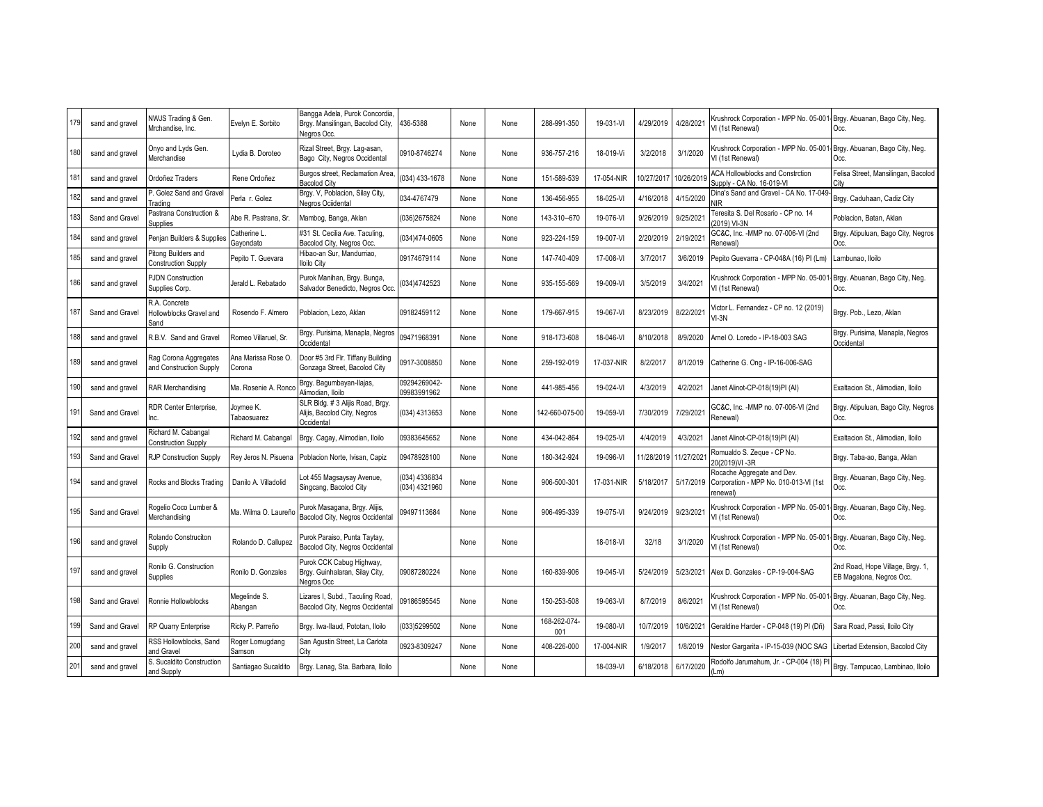| 179 | sand and gravel | NWJS Trading & Gen.<br>Mrchandise, Inc.           | Evelyn E. Sorbito            | Bangga Adela, Purok Concordia<br>Brgy. Mansilingan, Bacolod City.<br>Nearos Occ | 436-5388                      | None | None | 288-991-350         | 19-031-VI  | 4/29/2019  | 4/28/2021             | Krushrock Corporation - MPP No. 05-001<br>VI (1st Renewal)                     | Brgy. Abuanan, Bago City, Neg.<br>Occ.                       |
|-----|-----------------|---------------------------------------------------|------------------------------|---------------------------------------------------------------------------------|-------------------------------|------|------|---------------------|------------|------------|-----------------------|--------------------------------------------------------------------------------|--------------------------------------------------------------|
| 180 | sand and gravel | Onyo and Lyds Gen.<br>Merchandise                 | Lydia B. Doroteo             | Rizal Street, Brgy. Lag-asan,<br>Bago City, Negros Occidental                   | 0910-8746274                  | None | None | 936-757-216         | 18-019-Vi  | 3/2/2018   | 3/1/2020              | Krushrock Corporation - MPP No. 05-00<br>VI (1st Renewal)                      | Brgy. Abuanan, Bago City, Neg.<br>Occ.                       |
| 18  | sand and gravel | Ordoñez Traders                                   | Rene Ordoñez                 | Burgos street, Reclamation Area,<br><b>Bacolod City</b>                         | 034) 433-1678                 | None | None | 151-589-539         | 17-054-NIR | 10/27/2017 | 10/26/2019            | <b>ACA Hollowblocks and Constrction</b><br>Supply - CA No. 16-019-VI           | Felisa Street, Mansilingan, Bacolod<br>Citv                  |
| 182 | sand and gravel | P. Golez Sand and Gravel<br>rading                | Perla r. Golez               | Brgy. V, Poblacion, Silay City,<br>Negros Ociidental                            | 034-4767479                   | None | None | 136-456-955         | 18-025-VI  | 4/16/2018  | 4/15/2020             | Dina's Sand and Gravel - CA No. 17-049                                         | Brgy. Caduhaan, Cadiz City                                   |
| 183 | Sand and Gravel | Pastrana Construction &<br><b>Supplies</b>        | Abe R. Pastrana, Sr.         | Mambog, Banga, Aklan                                                            | 036)2675824                   | None | None | 143-310-670         | 19-076-VI  | 9/26/2019  | 9/25/202              | eresita S. Del Rosario - CP no. 14<br>2019) VI-3N                              | Poblacion, Batan, Aklan                                      |
| 184 | sand and gravel | Penjan Builders & Supplies                        | Catherine L<br>Gayondato     | #31 St. Cecilia Ave. Taculing,<br>Bacolod City, Negros Occ.                     | 034)474-0605                  | None | None | 923-224-159         | 19-007-VI  | 2/20/2019  | 2/19/2021             | GC&C, Inc. - MMP no. 07-006-VI (2nd<br>Renewal)                                | Brgy. Atipuluan, Bago City, Negros<br>Occ.                   |
| 185 | sand and gravel | Pitong Builders and<br><b>Construction Supply</b> | Pepito T. Guevara            | Hibao-an Sur, Mandurriao,<br>lloilo Citv                                        | 09174679114                   | None | None | 147-740-409         | 17-008-VI  | 3/7/2017   | 3/6/2019              | Pepito Guevarra - CP-048A (16) PI (Lm)                                         | ambunao, Iloilo                                              |
| 186 | sand and gravel | <b>PJDN Construction</b><br>Supplies Corp.        | Jerald L. Rebatado           | Purok Manihan, Brgy. Bunga,<br>Salvador Benedicto, Negros Occ                   | 034)4742523                   | None | None | 935-155-569         | 19-009-VI  | 3/5/2019   | 3/4/2021              | Krushrock Corporation - MPP No. 05-00<br>VI (1st Renewal)                      | Brgy. Abuanan, Bago City, Neg.<br>Occ.                       |
| 187 | Sand and Gravel | R.A. Concrete<br>Hollowblocks Gravel and<br>Sand  | Rosendo F. Almero            | Poblacion, Lezo, Aklan                                                          | 09182459112                   | None | None | 179-667-915         | 19-067-VI  | 8/23/2019  | 8/22/2021             | /ictor L. Fernandez - CP no. 12 (2019)<br>$VI-3N$                              | Brgy. Pob., Lezo, Aklan                                      |
| 188 | sand and gravel | R.B.V. Sand and Gravel                            | Romeo Villaruel, Sr.         | Brgy. Purisima, Manapla, Negros<br>Occidental                                   | 09471968391                   | None | None | 918-173-608         | 18-046-VI  | 8/10/2018  | 8/9/2020              | Arnel O. Loredo - IP-18-003 SAG                                                | Brgy. Purisima, Manapla, Negros<br>Occidental                |
| 189 | sand and gravel | Rag Corona Aggregates<br>and Construction Supply  | Ana Marissa Rose O<br>Corona | Door #5 3rd Flr. Tiffany Building<br>Gonzaga Street, Bacolod City               | 0917-3008850                  | None | None | 259-192-019         | 17-037-NIR | 8/2/2017   | 8/1/2019              | Catherine G. Ong - IP-16-006-SAG                                               |                                                              |
| 190 | sand and gravel | RAR Merchandising                                 | Ma. Rosenie A. Ronc          | Brgy. Bagumbayan-Ilajas,<br>Alimodian, Iloilo                                   | 09294269042-<br>09983991962   | None | None | 441-985-456         | 19-024-VI  | 4/3/2019   | 4/2/2021              | Janet Alinot-CP-018(19)PI (AI)                                                 | Exaltacion St., Alimodian, Iloilo                            |
| 191 | Sand and Gravel | RDR Center Enterprise.                            | Joymee K.<br>Tabaosuarez     | SLR Bldg. # 3 Alijis Road, Brgy.<br>Alijis, Bacolod City, Negros<br>Occidental  | (034) 4313653                 | None | None | 42-660-075-00       | 19-059-VI  | 7/30/2019  | 7/29/2021             | GC&C, Inc. - MMP no. 07-006-VI (2nd<br>Renewal)                                | Brgy. Atipuluan, Bago City, Negros<br>Occ.                   |
| 192 | sand and gravel | Richard M. Cabangal<br><b>Construction Supply</b> | Richard M. Cabangal          | Brgy. Cagay, Alimodian, Iloilo                                                  | 09383645652                   | None | None | 434-042-864         | 19-025-VI  | 4/4/2019   | 4/3/2021              | Janet Alinot-CP-018(19)PI (AI)                                                 | Exaltacion St., Alimodian, Iloilo                            |
| 193 | Sand and Gravel | RJP Construction Supply                           | Rey Jeros N. Pisuena         | Poblacion Norte, Ivisan, Capiz                                                  | 09478928100                   | None | None | 180-342-924         | 19-096-VI  |            | 11/28/2019 11/27/2021 | Romualdo S. Zeque - CP No.<br>20(2019)VI-3R                                    | Brgy. Taba-ao, Banga, Aklan                                  |
| 194 | sand and gravel | Rocks and Blocks Trading                          | Danilo A. Villadolid         | Lot 455 Magsaysay Avenue,<br>Singcang, Bacolod City                             | 034) 4336834<br>(034) 4321960 | None | None | 906-500-301         | 17-031-NIR | 5/18/2017  | 5/17/2019             | Rocache Aggregate and Dev.<br>Corporation - MPP No. 010-013-VI (1st<br>enewal) | Brgy. Abuanan, Bago City, Neg.<br>Occ.                       |
| 195 | Sand and Gravel | Rogelio Coco Lumber &<br>Merchandising            | Ma. Wilma O. Laureño         | Purok Masagana, Brgy. Alijis,<br>Bacolod City, Negros Occidental                | 09497113684                   | None | None | 906-495-339         | 19-075-VI  | 9/24/2019  | 9/23/202              | Krushrock Corporation - MPP No. 05-00<br>VI (1st Renewal)                      | Brgy. Abuanan, Bago City, Neg.<br>Occ.                       |
| 196 | sand and gravel | Rolando Construciton<br>Supply                    | Rolando D. Callupez          | Purok Paraiso, Punta Taytay,<br>Bacolod City, Negros Occidental                 |                               | None | None |                     | 18-018-VI  | 32/18      | 3/1/2020              | Krushrock Corporation - MPP No. 05-00<br>VI (1st Renewal)                      | Brgy. Abuanan, Bago City, Neg.<br>Occ.                       |
| 197 | sand and gravel | Ronilo G. Construction<br>Supplies                | Ronilo D. Gonzales           | Purok CCK Cabug Highway,<br>Brgy. Guinhalaran, Silay City,<br>Negros Occ        | 09087280224                   | None | None | 160-839-906         | 19-045-VI  | 5/24/2019  | 5/23/2021             | Alex D. Gonzales - CP-19-004-SAG                                               | 2nd Road, Hope Village, Brgy. 1,<br>EB Magalona, Negros Occ. |
| 198 | Sand and Gravel | Ronnie Hollowblocks                               | Megelinde S.<br>Abangan      | .izares I, Subd., Taculing Road,<br>Bacolod City, Negros Occidental             | 09186595545                   | None | None | 150-253-508         | 19-063-VI  | 8/7/2019   | 8/6/2021              | Krushrock Corporation - MPP No. 05-00<br>VI (1st Renewal)                      | Brgy. Abuanan, Bago City, Neg.<br>Occ.                       |
| 199 | Sand and Gravel | RP Quarry Enterprise                              | Ricky P. Parreño             | Brgy. Iwa-Ilaud, Pototan, Iloilo                                                | 033)5299502                   | None | None | 168-262-074-<br>001 | 19-080-VI  | 10/7/2019  | 10/6/2021             | Geraldine Harder - CP-048 (19) PI (Dñ)                                         | Sara Road, Passi, Iloilo City                                |
| 200 | sand and gravel | RSS Hollowblocks, Sand<br>and Gravel              | Roger Lomugdang<br>Samson    | San Agustin Street, La Carlota<br>City                                          | 0923-8309247                  | None | None | 408-226-000         | 17-004-NIR | 1/9/2017   | 1/8/2019              | Nestor Gargarita - IP-15-039 (NOC SAG                                          | Libertad Extension, Bacolod City                             |
| 201 | sand and gravel | S. Sucaldito Construction<br>and Supply           | Santiagao Sucaldito          | Brgy. Lanag, Sta. Barbara, Iloilo                                               |                               | None | None |                     | 18-039-VI  | 6/18/2018  | 6/17/2020             | Rodolfo Jarumahum, Jr. - CP-004 (18) P<br>(Lm)                                 | Brgy. Tampucao, Lambinao, Iloilo                             |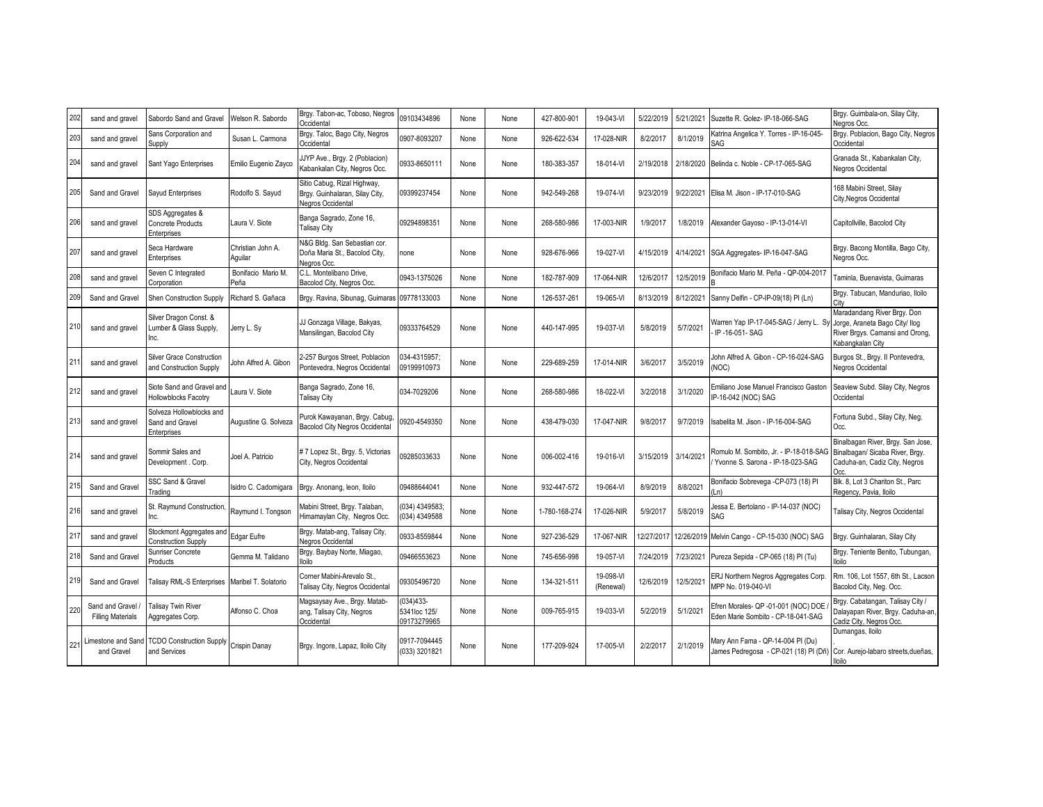| 202 | sand and gravel                             | Sabordo Sand and Gravel                                            | Welson R. Sabordo            | Brgy. Tabon-ac, Toboso, Negros<br>Occidental                                       | 09103434896                             | None | None | 427-800-901   | 19-043-VI              | 5/22/2019  | 5/21/2021  | Suzette R. Golez- IP-18-066-SAG                                                                                | Brgy. Guimbala-on, Silay City,<br>Negros Occ.                                                                        |
|-----|---------------------------------------------|--------------------------------------------------------------------|------------------------------|------------------------------------------------------------------------------------|-----------------------------------------|------|------|---------------|------------------------|------------|------------|----------------------------------------------------------------------------------------------------------------|----------------------------------------------------------------------------------------------------------------------|
| 203 | sand and gravel                             | Sans Corporation and<br>Supply                                     | Susan L. Carmona             | Brgy. Taloc, Bago City, Negros<br>Occidental                                       | 0907-8093207                            | None | None | 926-622-534   | 17-028-NIR             | 8/2/2017   | 8/1/2019   | Katrina Angelica Y. Torres - IP-16-045-<br>SAG                                                                 | Brgy. Poblacion, Bago City, Negros<br>Occidental                                                                     |
| 204 | sand and gravel                             | Sant Yago Enterprises                                              | Emilio Eugenio Zayco         | JJYP Ave., Brgy. 2 (Poblacion)<br>Kabankalan City, Negros Occ.                     | 0933-8650111                            | None | None | 180-383-357   | 18-014-VI              | 2/19/2018  |            | 2/18/2020 Belinda c. Noble - CP-17-065-SAG                                                                     | Granada St., Kabankalan City,<br>Negros Occidental                                                                   |
| 205 | Sand and Gravel                             | Sayud Enterprises                                                  | Rodolfo S. Sayud             | Sitio Cabug, Rizal Highway,<br>Brgy. Guinhalaran, Silay City,<br>Negros Occidental | 09399237454                             | None | None | 942-549-268   | 19-074-VI              | 9/23/2019  |            | 9/22/2021 Elisa M. Jison - IP-17-010-SAG                                                                       | 168 Mabini Street, Silay<br>City, Negros Occidental                                                                  |
| 206 | sand and gravel                             | SDS Aggregates &<br><b>Concrete Products</b><br><b>Enterprises</b> | Laura V. Siote               | Banga Sagrado, Zone 16,<br><b>Talisay City</b>                                     | 09294898351                             | None | None | 268-580-986   | 17-003-NIR             | 1/9/2017   | 1/8/2019   | Alexander Gayoso - IP-13-014-VI                                                                                | Capitollville, Bacolod City                                                                                          |
| 207 | sand and gravel                             | Seca Hardware<br>Enterprises                                       | Christian John A.<br>Aquilar | N&G Bldg. San Sebastian cor.<br>Doña Maria St., Bacolod City,<br>Negros Occ.       | one                                     | None | None | 928-676-966   | 19-027-VI              | 4/15/2019  | 4/14/2021  | SGA Aggregates- IP-16-047-SAG                                                                                  | Brgy. Bacong Montilla, Bago City,<br>Negros Occ.                                                                     |
| 208 | sand and gravel                             | Seven C Integrated<br>orporation                                   | Bonifacio Mario M.<br>Peña   | C.L. Montelibano Drive.<br>Bacolod City, Negros Occ.                               | 0943-1375026                            | None | None | 182-787-909   | 17-064-NIR             | 12/6/2017  | 12/5/2019  | Bonifacio Mario M. Peña - QP-004-2017                                                                          | Taminla, Buenavista, Guimaras                                                                                        |
| 209 | Sand and Gravel                             | <b>Shen Construction Supply</b>                                    | Richard S. Gañaca            | Brgy. Ravina, Sibunag, Guimaras                                                    | 09778133003                             | None | None | 126-537-261   | 19-065-VI              | 8/13/2019  | 8/12/2021  | Sanny Delfin - CP-IP-09(18) PI (Ln)                                                                            | Brgy. Tabucan, Manduriao, Iloilo<br>Cit                                                                              |
| 210 | sand and gravel                             | Silver Dragon Const. &<br>Lumber & Glass Supply,<br>Inc.           | Jerry L. Sy                  | JJ Gonzaga Village, Bakyas,<br>Mansilingan, Bacolod City                           | 09333764529                             | None | None | 440-147-995   | 19-037-VI              | 5/8/2019   | 5/7/2021   | Warren Yap IP-17-045-SAG / Jerry L. Sy<br>IP-16-051-SAG                                                        | Maradandang River Brgy. Don<br>Jorge, Araneta Bago City/ Ilog<br>River Brgys. Camansi and Orong,<br>Kabangkalan City |
| 211 | sand and gravel                             | <b>Silver Grace Construction</b><br>and Construction Supply        | lohn Alfred A. Gibon         | -257 Burgos Street, Poblacion<br>Pontevedra, Negros Occidental                     | 34-4315957;<br>09199910973              | None | None | 229-689-259   | 17-014-NIR             | 3/6/2017   | 3/5/2019   | lohn Alfred A. Gibon - CP-16-024-SAG<br>(NOC                                                                   | Burgos St., Brgy. Il Pontevedra,<br>Negros Occidental                                                                |
| 212 | sand and gravel                             | Siote Sand and Gravel and<br>Hollowblocks Facotry                  | Laura V. Siote               | Banga Sagrado, Zone 16,<br><b>Talisay City</b>                                     | 034-7029206                             | None | None | 268-580-986   | 18-022-VI              | 3/2/2018   | 3/1/2020   | Emiliano Jose Manuel Francisco Gaston<br>P-16-042 (NOC) SAG                                                    | Seaview Subd. Silay City, Negros<br>Occidental                                                                       |
| 213 | sand and gravel                             | Solveza Hollowblocks and<br>Sand and Gravel<br>Enterprises         | Augustine G. Solveza         | Purok Kawayanan, Brgy. Cabug,<br><b>Bacolod City Negros Occidental</b>             | 920-4549350                             | None | None | 438-479-030   | 17-047-NIR             | 9/8/2017   | 9/7/2019   | Isabelita M. Jison - IP-16-004-SAG                                                                             | Fortuna Subd., Silay City, Neg.<br>Occ.                                                                              |
| 214 | sand and gravel                             | Sommir Sales and<br>Development . Corp.                            | Joel A. Patricio             | # 7 Lopez St., Brgy. 5, Victorias<br>City, Negros Occidental                       | 09285033633                             | None | None | 006-002-416   | 19-016-VI              | 3/15/2019  | 3/14/2021  | Romulo M. Sombito, Jr. - IP-18-018-SAG<br>Yvonne S. Sarona - IP-18-023-SAG                                     | Binalbagan River, Brgy. San Jose,<br>Binalbagan/ Sicaba River, Brgy.<br>Caduha-an, Cadiz City, Negros<br>nn.         |
| 215 | Sand and Gravel                             | SSC Sand & Gravel<br>rading                                        | Isidro C. Cadornigara        | Brgy. Anonang, leon, Iloilo                                                        | 09488644041                             | None | None | 932-447-572   | 19-064-VI              | 8/9/2019   | 8/8/2021   | Bonifacio Sobrevega - CP-073 (18) PI<br>Ln)                                                                    | Blk. 8. Lot 3 Chariton St., Parc<br>Regency, Pavia, Iloilo                                                           |
| 216 | sand and gravel                             | St. Raymund Construction.<br>nc.                                   | Raymund I. Tongson           | Mabini Street, Brgy. Talaban,<br>Himamaylan City, Negros Occ.                      | (034) 4349583;<br>034) 4349588          | None | None | 1-780-168-274 | 17-026-NIR             | 5/9/2017   | 5/8/2019   | lessa E. Bertolano - IP-14-037 (NOC)<br>SAG                                                                    | Talisay City, Negros Occidental                                                                                      |
| 217 | sand and gravel                             | Stockmont Aggregates and<br>Construction Supply                    | Edgar Eufre                  | Brgy. Matab-ang, Talisay City,<br>Negros Occidental                                | 0933-8559844                            | None | None | 927-236-529   | 17-067-NIR             | 12/27/2017 | 12/26/2019 | Melvin Cango - CP-15-030 (NOC) SAG                                                                             | Brgy. Guinhalaran, Silay City                                                                                        |
| 218 | Sand and Gravel                             | Sunriser Concrete<br>Products                                      | Gemma M. Talidano            | Brgy. Baybay Norte, Miagao,<br>lloilo                                              | 09466553623                             | None | None | 745-656-998   | 19-057-VI              | 7/24/2019  | 7/23/2021  | Pureza Sepida - CP-065 (18) PI (Tu)                                                                            | Brgy. Teniente Benito, Tubungan,<br>lloilo                                                                           |
| 219 | Sand and Gravel                             | Talisay RML-S Enterprises   Maribel T. Solatorio                   |                              | Corner Mabini-Arevalo St<br>Talisay City, Negros Occidental                        | 09305496720                             | None | None | 134-321-511   | 19-098-VI<br>(Renewal) | 12/6/2019  | 12/5/2021  | ERJ Northern Negros Aggregates Corp.<br>MPP No. 019-040-VI                                                     | Rm. 106. Lot 1557, 6th St., Lacson<br>Bacolod City, Neg. Occ.                                                        |
| 220 | Sand and Gravel<br><b>Filling Materials</b> | <b>Talisay Twin River</b><br>Aggregates Corp.                      | Alfonso C. Choa              | Magsaysay Ave., Brgy. Matab-<br>ang, Talisay City, Negros<br>Occidental            | 034)433-<br>5341loc 125/<br>09173279965 | None | None | 009-765-915   | 19-033-VI              | 5/2/2019   | 5/1/2021   | Efren Morales- QP -01-001 (NOC) DOE<br>Eden Marie Sombito - CP-18-041-SAG                                      | Brgy. Cabatangan, Talisay City /<br>Dalayapan River, Brgy. Caduha-an.<br>Cadiz City, Negros Occ.                     |
| 221 | and Gravel                                  | Limestone and Sand TCDO Construction Supply<br>and Services        | Crispin Danay                | Brgy. Ingore, Lapaz, Iloilo City                                                   | 0917-7094445<br>(033) 3201821           | None | None | 177-209-924   | 17-005-VI              | 2/2/2017   | 2/1/2019   | Mary Ann Fama - QP-14-004 PI (Du)<br>James Pedregosa - CP-021 (18) PI (Dñ) Cor. Aurejo-labaro streets, dueñas, | Dumangas, Iloilo<br>lloilo                                                                                           |